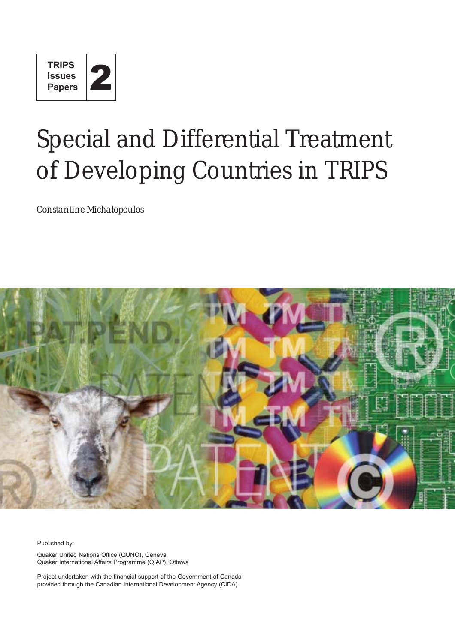

# Special and Differential Treatment of Developing Countries in TRIPS

*Constantine Michalopoulos*



Published by:

Quaker United Nations Office (QUNO), Geneva Quaker International Affairs Programme (QIAP), Ottawa

Project undertaken with the financial support of the Government of Canada provided through the Canadian International Development Agency (CIDA)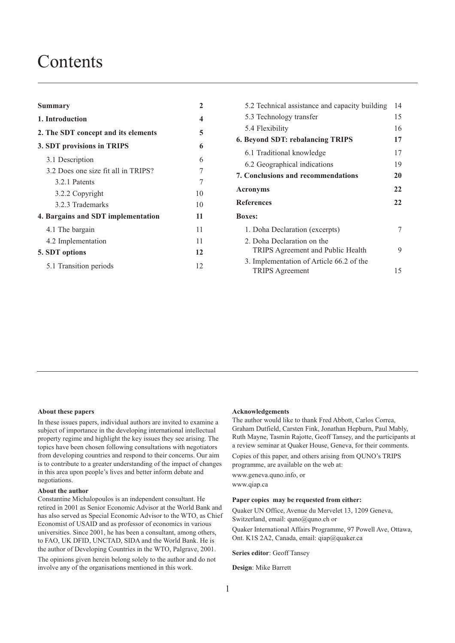# **Contents**

| Summary                             | $\overline{2}$          |
|-------------------------------------|-------------------------|
| 1. Introduction                     | $\overline{\mathbf{4}}$ |
| 2. The SDT concept and its elements | 5                       |
| 3. SDT provisions in TRIPS          | 6                       |
| 3.1 Description                     | 6                       |
| 3.2 Does one size fit all in TRIPS? | 7                       |
| 3.2.1 Patents                       | 7                       |
| 3.2.2 Copyright                     | 10                      |
| 3.2.3 Trademarks                    | 10                      |
| 4. Bargains and SDT implementation  | 11                      |
| 4.1 The bargain                     | 11                      |
| 4.2 Implementation                  | 11                      |
| 5. SDT options                      | 12                      |
| 5.1 Transition periods              | 12                      |

| 5.2 Technical assistance and capacity building | 14 |
|------------------------------------------------|----|
| 5.3 Technology transfer                        | 15 |
| 5.4 Flexibility                                | 16 |
| <b>6. Beyond SDT: rebalancing TRIPS</b>        | 17 |
| 6.1 Traditional knowledge                      | 17 |
| 6.2 Geographical indications                   | 19 |
| <b>7. Conclusions and recommendations</b>      | 20 |
| <b>Acronyms</b>                                | 22 |
| <b>References</b>                              | 22 |
| <b>Boxes:</b>                                  |    |
| 1. Doha Declaration (excerpts)                 | 7  |
| 2. Doha Declaration on the                     |    |
| TRIPS Agreement and Public Health              | 9  |
| 3. Implementation of Article 66.2 of the       |    |
| <b>TRIPS</b> Agreement                         | 15 |

#### **About these papers**

In these issues papers, individual authors are invited to examine a subject of importance in the developing international intellectual property regime and highlight the key issues they see arising. The topics have been chosen following consultations with negotiators from developing countries and respond to their concerns. Our aim is to contribute to a greater understanding of the impact of changes in this area upon people's lives and better inform debate and negotiations.

#### **About the author**

Constantine Michalopoulos is an independent consultant. He retired in 2001 as Senior Economic Advisor at the World Bank and has also served as Special Economic Advisor to the WTO, as Chief Economist of USAID and as professor of economics in various universities. Since 2001, he has been a consultant, among others, to FAO, UK DFID, UNCTAD, SIDA and the World Bank. He is the author of Developing Countries in the WTO, Palgrave, 2001.

The opinions given herein belong solely to the author and do not involve any of the organisations mentioned in this work.

#### **Acknowledgements**

The author would like to thank Fred Abbott, Carlos Correa, Graham Dutfield, Carsten Fink, Jonathan Hepburn, Paul Mably, Ruth Mayne, Tasmin Rajotte, Geoff Tansey, and the participants at a review seminar at Quaker House, Geneva, for their comments.

Copies of this paper, and others arising from QUNO's TRIPS programme, are available on the web at:

www.geneva.quno.info, or

www.qiap.ca

#### **Paper copies may be requested from either:**

Quaker UN Office, Avenue du Mervelet 13, 1209 Geneva, Switzerland, email: quno@quno.ch or

Quaker International Affairs Programme, 97 Powell Ave, Ottawa, Ont. K1S 2A2, Canada, email: qiap@quaker.ca

**Series editor**: Geoff Tansey

**Design**: Mike Barrett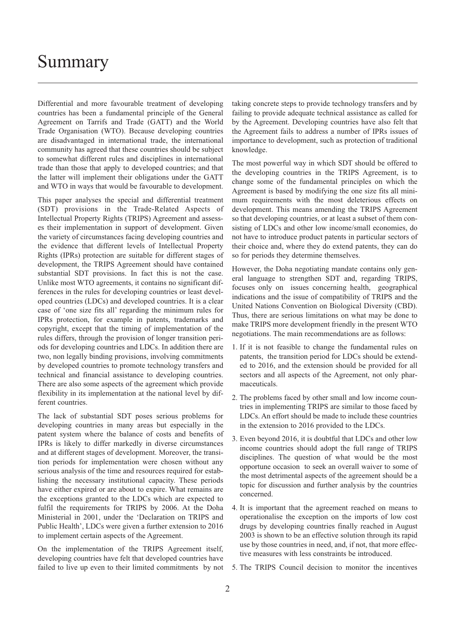# <span id="page-3-0"></span>Summary

Differential and more favourable treatment of developing countries has been a fundamental principle of the General Agreement on Tarrifs and Trade (GATT) and the World Trade Organisation (WTO). Because developing countries are disadvantaged in international trade, the international community has agreed that these countries should be subject to somewhat different rules and disciplines in international trade than those that apply to developed countries; and that the latter will implement their obligations under the GATT and WTO in ways that would be favourable to development.

This paper analyses the special and differential treatment (SDT) provisions in the Trade-Related Aspects of Intellectual Property Rights (TRIPS) Agreement and assesses their implementation in support of development. Given the variety of circumstances facing developing countries and the evidence that different levels of Intellectual Property Rights (IPRs) protection are suitable for different stages of development, the TRIPS Agreement should have contained substantial SDT provisions. In fact this is not the case. Unlike most WTO agreements, it contains no significant differences in the rules for developing countries or least developed countries (LDCs) and developed countries. It is a clear case of 'one size fits all' regarding the minimum rules for IPRs protection, for example in patents, trademarks and copyright, except that the timing of implementation of the rules differs, through the provision of longer transition periods for developing countries and LDCs. In addition there are two, non legally binding provisions, involving commitments by developed countries to promote technology transfers and technical and financial assistance to developing countries. There are also some aspects of the agreement which provide flexibility in its implementation at the national level by different countries.

The lack of substantial SDT poses serious problems for developing countries in many areas but especially in the patent system where the balance of costs and benefits of IPRs is likely to differ markedly in diverse circumstances and at different stages of development. Moreover, the transition periods for implementation were chosen without any serious analysis of the time and resources required for establishing the necessary institutional capacity. These periods have either expired or are about to expire. What remains are the exceptions granted to the LDCs which are expected to fulfil the requirements for TRIPS by 2006. At the Doha Ministerial in 2001, under the 'Declaration on TRIPS and Public Health', LDCs were given a further extension to 2016 to implement certain aspects of the Agreement.

On the implementation of the TRIPS Agreement itself, developing countries have felt that developed countries have failed to live up even to their limited commitments by not taking concrete steps to provide technology transfers and by failing to provide adequate technical assistance as called for by the Agreement. Developing countries have also felt that the Agreement fails to address a number of IPRs issues of importance to development, such as protection of traditional knowledge.

The most powerful way in which SDT should be offered to the developing countries in the TRIPS Agreement, is to change some of the fundamental principles on which the Agreement is based by modifying the one size fits all minimum requirements with the most deleterious effects on development. This means amending the TRIPS Agreement so that developing countries, or at least a subset of them consisting of LDCs and other low income/small economies, do not have to introduce product patents in particular sectors of their choice and, where they do extend patents, they can do so for periods they determine themselves.

However, the Doha negotiating mandate contains only general language to strengthen SDT and, regarding TRIPS, focuses only on issues concerning health, geographical indications and the issue of compatibility of TRIPS and the United Nations Convention on Biological Diversity (CBD). Thus, there are serious limitations on what may be done to make TRIPS more development friendly in the present WTO negotiations. The main recommendations are as follows:

- 1. If it is not feasible to change the fundamental rules on patents, the transition period for LDCs should be extended to 2016, and the extension should be provided for all sectors and all aspects of the Agreement, not only pharmaceuticals.
- 2. The problems faced by other small and low income countries in implementing TRIPS are similar to those faced by LDCs. An effort should be made to include these countries in the extension to 2016 provided to the LDCs.
- 3. Even beyond 2016, it is doubtful that LDCs and other low income countries should adopt the full range of TRIPS disciplines. The question of what would be the most opportune occasion to seek an overall waiver to some of the most detrimental aspects of the agreement should be a topic for discussion and further analysis by the countries concerned.
- 4. It is important that the agreement reached on means to operationalise the exception on the imports of low cost drugs by developing countries finally reached in August 2003 is shown to be an effective solution through its rapid use by those countries in need, and, if not, that more effective measures with less constraints be introduced.
- 5. The TRIPS Council decision to monitor the incentives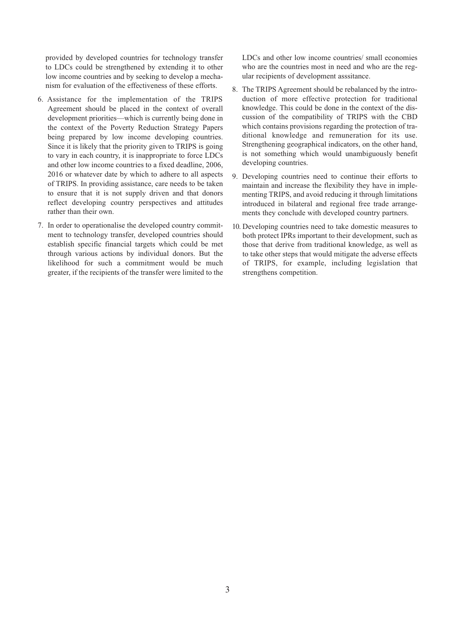provided by developed countries for technology transfer to LDCs could be strengthened by extending it to other low income countries and by seeking to develop a mechanism for evaluation of the effectiveness of these efforts.

- 6. Assistance for the implementation of the TRIPS Agreement should be placed in the context of overall development priorities—which is currently being done in the context of the Poverty Reduction Strategy Papers being prepared by low income developing countries. Since it is likely that the priority given to TRIPS is going to vary in each country, it is inappropriate to force LDCs and other low income countries to a fixed deadline, 2006, 2016 or whatever date by which to adhere to all aspects of TRIPS. In providing assistance, care needs to be taken to ensure that it is not supply driven and that donors reflect developing country perspectives and attitudes rather than their own.
- 7. In order to operationalise the developed country commitment to technology transfer, developed countries should establish specific financial targets which could be met through various actions by individual donors. But the likelihood for such a commitment would be much greater, if the recipients of the transfer were limited to the

LDCs and other low income countries/ small economies who are the countries most in need and who are the regular recipients of development asssitance.

- 8. The TRIPS Agreement should be rebalanced by the introduction of more effective protection for traditional knowledge. This could be done in the context of the discussion of the compatibility of TRIPS with the CBD which contains provisions regarding the protection of traditional knowledge and remuneration for its use. Strengthening geographical indicators, on the other hand, is not something which would unambiguously benefit developing countries.
- 9. Developing countries need to continue their efforts to maintain and increase the flexibility they have in implementing TRIPS, and avoid reducing it through limitations introduced in bilateral and regional free trade arrangements they conclude with developed country partners.
- 10. Developing countries need to take domestic measures to both protect IPRs important to their development, such as those that derive from traditional knowledge, as well as to take other steps that would mitigate the adverse effects of TRIPS, for example, including legislation that strengthens competition.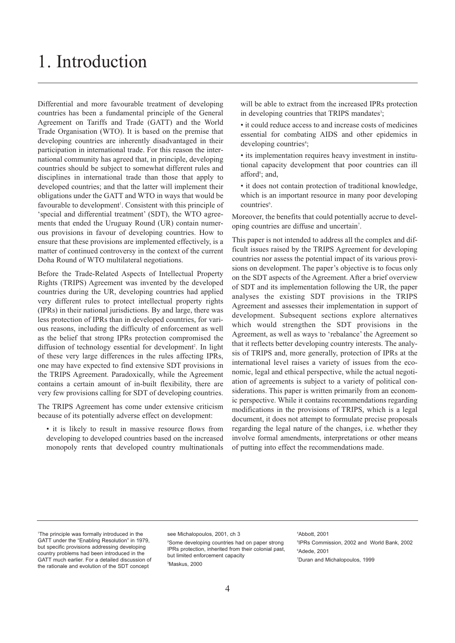# <span id="page-5-0"></span>1. Introduction

Differential and more favourable treatment of developing countries has been a fundamental principle of the General Agreement on Tariffs and Trade (GATT) and the World Trade Organisation (WTO). It is based on the premise that developing countries are inherently disadvantaged in their participation in international trade. For this reason the international community has agreed that, in principle, developing countries should be subject to somewhat different rules and disciplines in international trade than those that apply to developed countries; and that the latter will implement their obligations under the GATT and WTO in ways that would be favourable to development<sup>1</sup>. Consistent with this principle of 'special and differential treatment' (SDT), the WTO agreements that ended the Uruguay Round (UR) contain numerous provisions in favour of developing countries. How to ensure that these provisions are implemented effectively, is a matter of continued controversy in the context of the current Doha Round of WTO multilateral negotiations.

Before the Trade-Related Aspects of Intellectual Property Rights (TRIPS) Agreement was invented by the developed countries during the UR, developing countries had applied very different rules to protect intellectual property rights (IPRs) in their national jurisdictions. By and large, there was less protection of IPRs than in developed countries, for various reasons, including the difficulty of enforcement as well as the belief that strong IPRs protection compromised the diffusion of technology essential for development<sup>2</sup>. In light of these very large differences in the rules affecting IPRs, one may have expected to find extensive SDT provisions in the TRIPS Agreement. Paradoxically, while the Agreement contains a certain amount of in-built flexibility, there are very few provisions calling for SDT of developing countries.

The TRIPS Agreement has come under extensive criticism because of its potentially adverse effect on development:

• it is likely to result in massive resource flows from developing to developed countries based on the increased monopoly rents that developed country multinationals will be able to extract from the increased IPRs protection in developing countries that TRIPS mandates<sup>3</sup>;

• it could reduce access to and increase costs of medicines essential for combating AIDS and other epidemics in developing countries<sup>4</sup>;

• its implementation requires heavy investment in institutional capacity development that poor countries can ill afford<sup>5</sup>; and,

• it does not contain protection of traditional knowledge, which is an important resource in many poor developing countries<sup>6</sup>.

Moreover, the benefits that could potentially accrue to developing countries are diffuse and uncertain<sup>7</sup>.

This paper is not intended to address all the complex and difficult issues raised by the TRIPS Agreement for developing countries nor assess the potential impact of its various provisions on development. The paper's objective is to focus only on the SDT aspects of the Agreement. After a brief overview of SDT and its implementation following the UR, the paper analyses the existing SDT provisions in the TRIPS Agreement and assesses their implementation in support of development. Subsequent sections explore alternatives which would strengthen the SDT provisions in the Agreement, as well as ways to 'rebalance' the Agreement so that it reflects better developing country interests. The analysis of TRIPS and, more generally, protection of IPRs at the international level raises a variety of issues from the economic, legal and ethical perspective, while the actual negotiation of agreements is subject to a variety of political considerations. This paper is written primarily from an economic perspective. While it contains recommendations regarding modifications in the provisions of TRIPS, which is a legal document, it does not attempt to formulate precise proposals regarding the legal nature of the changes, i.e. whether they involve formal amendments, interpretations or other means of putting into effect the recommendations made.

see Michalopoulos, 2001, ch 3 2 Some developing countries had on paper strong IPRs protection, inherited from their colonial past, but limited enforcement capacity 3 Maskus, 2000

#### 4 Abbott, 2001

5 IPRs Commission, 2002 and World Bank, 2002 6 Adede, 2001 7 Duran and Michalopoulos, 1999

<sup>1</sup> The principle was formally introduced in the GATT under the "Enabling Resolution" in 1979, but specific provisions addressing developing country problems had been introduced in the GATT much earlier. For a detailed discussion of the rationale and evolution of the SDT concept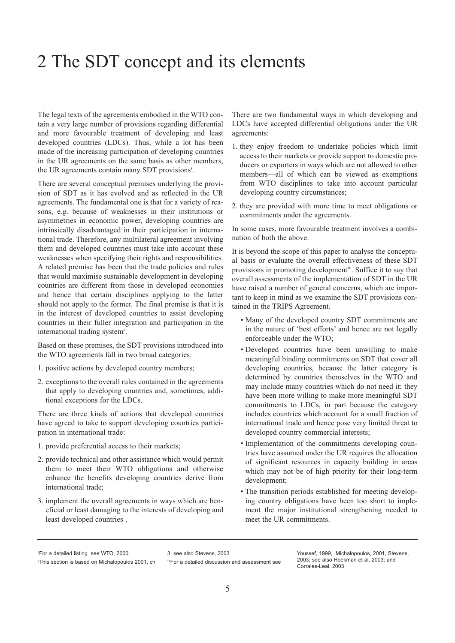<span id="page-6-0"></span>The legal texts of the agreements embodied in the WTO contain a very large number of provisions regarding differential and more favourable treatment of developing and least developed countries (LDCs). Thus, while a lot has been made of the increasing participation of developing countries in the UR agreements on the same basis as other members, the UR agreements contain many SDT provisions<sup>8</sup>.

There are several conceptual premises underlying the provision of SDT as it has evolved and as reflected in the UR agreements. The fundamental one is that for a variety of reasons, e.g. because of weaknesses in their institutions or asymmetries in economic power, developing countries are intrinsically disadvantaged in their participation in international trade. Therefore, any multilateral agreement involving them and developed countries must take into account these weaknesses when specifying their rights and responsibilities. A related premise has been that the trade policies and rules that would maximise sustainable development in developing countries are different from those in developed economies and hence that certain disciplines applying to the latter should not apply to the former. The final premise is that it is in the interest of developed countries to assist developing countries in their fuller integration and participation in the international trading system<sup>9</sup>.

Based on these premises, the SDT provisions introduced into the WTO agreements fall in two broad categories:

- 1. positive actions by developed country members;
- 2. exceptions to the overall rules contained in the agreements that apply to developing countries and, sometimes, additional exceptions for the LDCs.

There are three kinds of actions that developed countries have agreed to take to support developing countries participation in international trade:

- 1. provide preferential access to their markets;
- 2. provide technical and other assistance which would permit them to meet their WTO obligations and otherwise enhance the benefits developing countries derive from international trade;
- 3. implement the overall agreements in ways which are beneficial or least damaging to the interests of developing and least developed countries .

There are two fundamental ways in which developing and LDCs have accepted differential obligations under the UR agreements:

- 1. they enjoy freedom to undertake policies which limit access to their markets or provide support to domestic producers or exporters in ways which are not allowed to other members—all of which can be viewed as exemptions from WTO disciplines to take into account particular developing country circumstances;
- 2. they are provided with more time to meet obligations or commitments under the agreements.

In some cases, more favourable treatment involves a combination of both the above.

It is beyond the scope of this paper to analyse the conceptual basis or evaluate the overall effectiveness of these SDT provisions in promoting development<sup>10</sup>. Suffice it to say that overall assessments of the implementation of SDT in the UR have raised a number of general concerns, which are important to keep in mind as we examine the SDT provisions contained in the TRIPS Agreement.

- Many of the developed country SDT commitments are in the nature of 'best efforts' and hence are not legally enforceable under the WTO;
- Developed countries have been unwilling to make meaningful binding commitments on SDT that cover all developing countries, because the latter category is determined by countries themselves in the WTO and may include many countries which do not need it; they have been more willing to make more meaningful SDT commitments to LDCs, in part because the category includes countries which account for a small fraction of international trade and hence pose very limited threat to developed country commercial interests;
- Implementation of the commitments developing countries have assumed under the UR requires the allocation of significant resources in capacity building in areas which may not be of high priority for their long-term development;
- The transition periods established for meeting developing country obligations have been too short to implement the major institutional strengthening needed to meet the UR commitments.

8 For a detailed listing see WTO, 2000 9 This section is based on Michalopoulos 2001, ch 3; see also Stevens, 2003 10For a detailed discussion and assessment see

Youssef, 1999, Michalopoulos, 2001, Stevens, 2003; see also Hoekman et al, 2003; and Corrales-Leal, 2003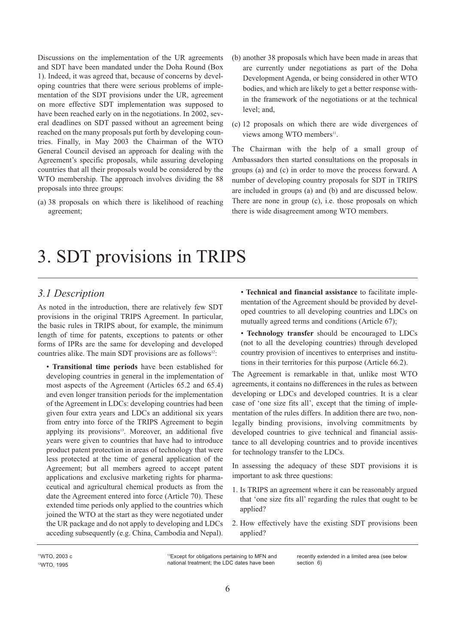<span id="page-7-0"></span>Discussions on the implementation of the UR agreements and SDT have been mandated under the Doha Round (Box 1). Indeed, it was agreed that, because of concerns by developing countries that there were serious problems of implementation of the SDT provisions under the UR, agreement on more effective SDT implementation was supposed to have been reached early on in the negotiations. In 2002, several deadlines on SDT passed without an agreement being reached on the many proposals put forth by developing countries. Finally, in May 2003 the Chairman of the WTO General Council devised an approach for dealing with the Agreement's specific proposals, while assuring developing countries that all their proposals would be considered by the WTO membership. The approach involves dividing the 88 proposals into three groups:

(a) 38 proposals on which there is likelihood of reaching agreement;

- (b) another 38 proposals which have been made in areas that are currently under negotiations as part of the Doha Development Agenda, or being considered in other WTO bodies, and which are likely to get a better response within the framework of the negotiations or at the technical level; and,
- (c) 12 proposals on which there are wide divergences of views among WTO members<sup>11</sup>.

The Chairman with the help of a small group of Ambassadors then started consultations on the proposals in groups (a) and (c) in order to move the process forward. A number of developing country proposals for SDT in TRIPS are included in groups (a) and (b) and are discussed below. There are none in group (c), i.e. those proposals on which there is wide disagreement among WTO members.

# 3. SDT provisions in TRIPS

### *3.1 Description*

As noted in the introduction, there are relatively few SDT provisions in the original TRIPS Agreement. In particular, the basic rules in TRIPS about, for example, the minimum length of time for patents, exceptions to patents or other forms of IPRs are the same for developing and developed countries alike. The main SDT provisions are as follows<sup>12</sup>:

• **Transitional time periods** have been established for developing countries in general in the implementation of most aspects of the Agreement (Articles 65.2 and 65.4) and even longer transition periods for the implementation of the Agreement in LDCs: developing countries had been given four extra years and LDCs an additional six years from entry into force of the TRIPS Agreement to begin applying its provisions<sup>13</sup>. Moreover, an additional five years were given to countries that have had to introduce product patent protection in areas of technology that were less protected at the time of general application of the Agreement; but all members agreed to accept patent applications and exclusive marketing rights for pharmaceutical and agricultural chemical products as from the date the Agreement entered into force (Article 70). These extended time periods only applied to the countries which joined the WTO at the start as they were negotiated under the UR package and do not apply to developing and LDCs acceding subsequently (e.g. China, Cambodia and Nepal).

• **Technical and financial assistance** to facilitate implementation of the Agreement should be provided by developed countries to all developing countries and LDCs on mutually agreed terms and conditions (Article 67);

• **Technology transfer** should be encouraged to LDCs (not to all the developing countries) through developed country provision of incentives to enterprises and institutions in their territories for this purpose (Article 66.2).

The Agreement is remarkable in that, unlike most WTO agreements, it contains no differences in the rules as between developing or LDCs and developed countries. It is a clear case of 'one size fits all', except that the timing of implementation of the rules differs. In addition there are two, nonlegally binding provisions, involving commitments by developed countries to give technical and financial assistance to all developing countries and to provide incentives for technology transfer to the LDCs.

In assessing the adequacy of these SDT provisions it is important to ask three questions:

- 1. Is TRIPS an agreement where it can be reasonably argued that 'one size fits all' regarding the rules that ought to be applied?
- 2. How effectively have the existing SDT provisions been applied?

11WTO, 2003 c 12WTO, 1995

<sup>13</sup>Except for obligations pertaining to MFN and national treatment; the LDC dates have been

recently extended in a limited area (see below section 6)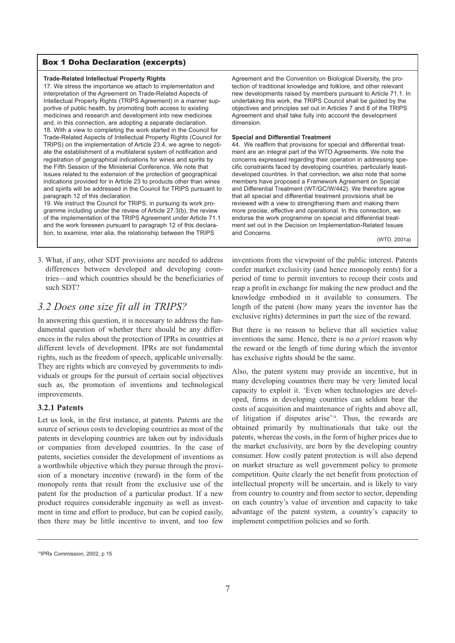#### <span id="page-8-0"></span>Box 1 Doha Declaration (excerpts)

#### **Trade-Related Intellectual Property Rights**

17. We stress the importance we attach to implementation and interpretation of the Agreement on Trade-Related Aspects of Intellectual Property Rights (TRIPS Agreement) in a manner supportive of public health, by promoting both access to existing medicines and research and development into new medicines and, in this connection, are adopting a separate declaration. 18. With a view to completing the work started in the Council for Trade-Related Aspects of Intellectual Property Rights (Council for TRIPS) on the implementation of Article 23.4, we agree to negotiate the establishment of a multilateral system of notification and registration of geographical indications for wines and spirits by the Fifth Session of the Ministerial Conference. We note that issues related to the extension of the protection of geographical indications provided for in Article 23 to products other than wines and spirits will be addressed in the Council for TRIPS pursuant to paragraph 12 of this declaration.

19. We instruct the Council for TRIPS, in pursuing its work programme including under the review of Article 27.3(b), the review of the implementation of the TRIPS Agreement under Article 71.1 and the work foreseen pursuant to paragraph 12 of this declaration, to examine, inter alia, the relationship between the TRIPS

Agreement and the Convention on Biological Diversity, the protection of traditional knowledge and folklore, and other relevant new developments raised by members pursuant to Article 71.1. In undertaking this work, the TRIPS Council shall be guided by the objectives and principles set out in Articles 7 and 8 of the TRIPS Agreement and shall take fully into account the development dimension.

#### **Special and Differential Treatment**

44. We reaffirm that provisions for special and differential treatment are an integral part of the WTO Agreements. We note the concerns expressed regarding their operation in addressing specific constraints faced by developing countries, particularly leastdeveloped countries. In that connection, we also note that some members have proposed a Framework Agreement on Special and Differential Treatment (WT/GC/W/442). We therefore agree that all special and differential treatment provisions shall be reviewed with a view to strengthening them and making them more precise, effective and operational. In this connection, we endorse the work programme on special and differential treatment set out in the Decision on Implementation-Related Issues and Concerns.

(WTO, 2001a)

3. What, if any, other SDT provisions are needed to address differences between developed and developing countries—and which countries should be the beneficiaries of such SDT?

### *3.2 Does one size fit all in TRIPS?*

In answering this question, it is necessary to address the fundamental question of whether there should be any differences in the rules about the protection of IPRs in countries at different levels of development. IPRs are not fundamental rights, such as the freedom of speech, applicable universally. They are rights which are conveyed by governments to individuals or groups for the pursuit of certain social objectives such as, the promotion of inventions and technological improvements.

#### **3.2.1 Patents**

Let us look, in the first instance, at patents. Patents are the source of serious costs to developing countries as most of the patents in developing countries are taken out by individuals or companies from developed countries. In the case of patents, societies consider the development of inventions as a worthwhile objective which they pursue through the provision of a monetary incentive (reward) in the form of the monopoly rents that result from the exclusive use of the patent for the production of a particular product. If a new product requires considerable ingenuity as well as investment in time and effort to produce, but can be copied easily, then there may be little incentive to invent, and too few inventions from the viewpoint of the public interest. Patents confer market exclusivity (and hence monopoly rents) for a period of time to permit inventors to recoup their costs and reap a profit in exchange for making the new product and the knowledge embodied in it available to consumers. The length of the patent (how many years the inventor has the exclusive rights) determines in part the size of the reward.

But there is no reason to believe that all societies value inventions the same. Hence, there is no *a priori* reason why the reward or the length of time during which the inventor has exclusive rights should be the same.

Also, the patent system may provide an incentive, but in many developing countries there may be very limited local capacity to exploit it. 'Even when technologies are developed, firms in developing countries can seldom bear the costs of acquisition and maintenance of rights and above all, of litigation if disputes arise'14. Thus, the rewards are obtained primarily by multinationals that take out the patents, whereas the costs, in the form of higher prices due to the market exclusivity, are born by the developing country consumer. How costly patent protection is will also depend on market structure as well government policy to promote competition. Quite clearly the net benefit from protection of intellectual property will be uncertain, and is likely to vary from country to country and from sector to sector, depending on each country's value of invention and capacity to take advantage of the patent system, a country's capacity to implement competition policies and so forth.

<sup>&</sup>lt;sup>14</sup>IPRs Commission, 2002, p. 15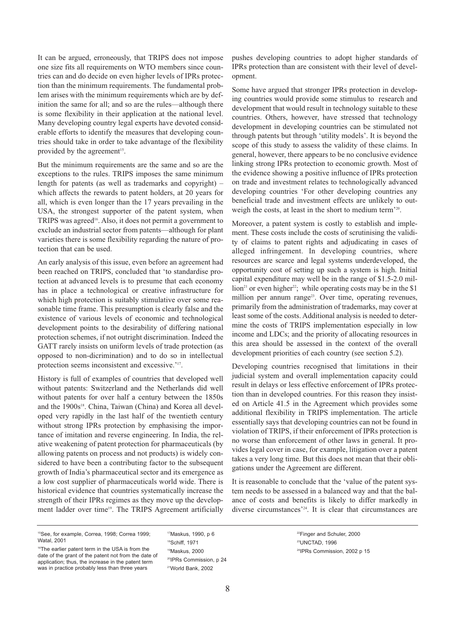It can be argued, erroneously, that TRIPS does not impose one size fits all requirements on WTO members since countries can and do decide on even higher levels of IPRs protection than the minimum requirements. The fundamental problem arises with the minimum requirements which are by definition the same for all; and so are the rules—although there is some flexibility in their application at the national level. Many developing country legal experts have devoted considerable efforts to identify the measures that developing countries should take in order to take advantage of the flexibility provided by the agreement<sup>15</sup>.

But the minimum requirements are the same and so are the exceptions to the rules. TRIPS imposes the same minimum length for patents (as well as trademarks and copyright) – which affects the rewards to patent holders, at 20 years for all, which is even longer than the 17 years prevailing in the USA, the strongest supporter of the patent system, when TRIPS was agreed<sup>16</sup>. Also, it does not permit a government to exclude an industrial sector from patents—although for plant varieties there is some flexibility regarding the nature of protection that can be used.

An early analysis of this issue, even before an agreement had been reached on TRIPS, concluded that 'to standardise protection at advanced levels is to presume that each economy has in place a technological or creative infrastructure for which high protection is suitably stimulative over some reasonable time frame. This presumption is clearly false and the existence of various levels of economic and technological development points to the desirability of differing national protection schemes, if not outright discrimination. Indeed the GATT rarely insists on uniform levels of trade protection (as opposed to non-dicrimination) and to do so in intellectual protection seems inconsistent and excessive.'17.

History is full of examples of countries that developed well without patents: Switzerland and the Netherlands did well without patents for over half a century between the 1850s and the 1900s<sup>18</sup>. China, Taiwan (China) and Korea all developed very rapidly in the last half of the twentieth century without strong IPRs protection by emphasising the importance of imitation and reverse engineering. In India, the relative weakening of patent protection for pharmaceuticals (by allowing patents on process and not products) is widely considered to have been a contributing factor to the subsequent growth of India's pharmaceutical sector and its emergence as a low cost supplier of pharmaceuticals world wide. There is historical evidence that countries systematically increase the strength of their IPRs regimes as they move up the development ladder over time<sup>19</sup>. The TRIPS Agreement artificially pushes developing countries to adopt higher standards of IPRs protection than are consistent with their level of development.

Some have argued that stronger IPRs protection in developing countries would provide some stimulus to research and development that would result in technology suitable to these countries. Others, however, have stressed that technology development in developing countries can be stimulated not through patents but through 'utility models'. It is beyond the scope of this study to assess the validity of these claims. In general, however, there appears to be no conclusive evidence linking strong IPRs protection to economic growth. Most of the evidence showing a positive influence of IPRs protection on trade and investment relates to technologically advanced developing countries 'For other developing countries any beneficial trade and investment effects are unlikely to outweigh the costs, at least in the short to medium term'20.

Moreover, a patent system is costly to establish and implement. These costs include the costs of scrutinising the validity of claims to patent rights and adjudicating in cases of alleged infringement. In developing countries, where resources are scarce and legal systems underdeveloped, the opportunity cost of setting up such a system is high. Initial capital expenditure may well be in the range of \$1.5-2.0 million<sup>21</sup> or even higher<sup>22</sup>; while operating costs may be in the \$1 million per annum range<sup>23</sup>. Over time, operating revenues, primarily from the administration of trademarks, may cover at least some of the costs. Additional analysis is needed to determine the costs of TRIPS implementation especially in low income and LDCs; and the priority of allocating resources in this area should be assessed in the context of the overall development priorities of each country (see section 5.2).

Developing countries recognised that limitations in their judicial system and overall implementation capacity could result in delays or less effective enforcement of IPRs protection than in developed countries. For this reason they insisted on Article 41.5 in the Agreement which provides some additional flexibility in TRIPS implementation. The article essentially says that developing countries can not be found in violation of TRIPS, if their enforcement of IPRs protection is no worse than enforcement of other laws in general. It provides legal cover in case, for example, litigation over a patent takes a very long time. But this does not mean that their obligations under the Agreement are different.

It is reasonable to conclude that the 'value of the patent system needs to be assessed in a balanced way and that the balance of costs and benefits is likely to differ markedly in diverse circumstances'24. It is clear that circumstances are

17Maskus, 1990, p 6 18Schiff, 1971 19Maskus, 2000 20IPRs Commission, p 24 21World Bank, 2002

22Finger and Schuler, 2000 23UNCTAD, 1996 24IPRs Commission, 2002 p 15

<sup>15</sup>See, for example, Correa, 1998; Correa 1999; Watal, 2001

<sup>&</sup>lt;sup>16</sup>The earlier patent term in the USA is from the date of the grant of the patent not from the date of application; thus, the increase in the patent term was in practice probably less than three years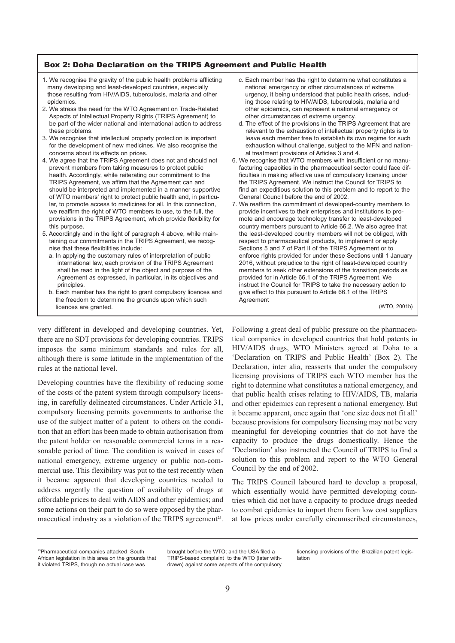#### <span id="page-10-0"></span>Box 2: Doha Declaration on the TRIPS Agreement and Public Health

- 1. We recognise the gravity of the public health problems afflicting many developing and least-developed countries, especially those resulting from HIV/AIDS, tuberculosis, malaria and other epidemics.
- 2. We stress the need for the WTO Agreement on Trade-Related Aspects of Intellectual Property Rights (TRIPS Agreement) to be part of the wider national and international action to address these problems.
- 3. We recognise that intellectual property protection is important for the development of new medicines. We also recognise the concerns about its effects on prices.
- 4. We agree that the TRIPS Agreement does not and should not prevent members from taking measures to protect public health. Accordingly, while reiterating our commitment to the TRIPS Agreement, we affirm that the Agreement can and should be interpreted and implemented in a manner supportive of WTO members' right to protect public health and, in particular, to promote access to medicines for all. In this connection, we reaffirm the right of WTO members to use, to the full, the provisions in the TRIPS Agreement, which provide flexibility for this purpose.
- 5. Accordingly and in the light of paragraph 4 above, while maintaining our commitments in the TRIPS Agreement, we recognise that these flexibilities include:
	- a. In applying the customary rules of interpretation of public international law, each provision of the TRIPS Agreement shall be read in the light of the object and purpose of the Agreement as expressed, in particular, in its objectives and principles.
	- b. Each member has the right to grant compulsory licences and the freedom to determine the grounds upon which such licences are granted.
- c. Each member has the right to determine what constitutes a national emergency or other circumstances of extreme urgency, it being understood that public health crises, including those relating to HIV/AIDS, tuberculosis, malaria and other epidemics, can represent a national emergency or other circumstances of extreme urgency.
- d. The effect of the provisions in the TRIPS Agreement that are relevant to the exhaustion of intellectual property rights is to leave each member free to establish its own regime for such exhaustion without challenge, subject to the MFN and national treatment provisions of Articles 3 and 4.
- 6. We recognise that WTO members with insufficient or no manufacturing capacities in the pharmaceutical sector could face difficulties in making effective use of compulsory licensing under the TRIPS Agreement. We instruct the Council for TRIPS to find an expeditious solution to this problem and to report to the General Council before the end of 2002.
- 7. We reaffirm the commitment of developed-country members to provide incentives to their enterprises and institutions to promote and encourage technology transfer to least-developed country members pursuant to Article 66.2. We also agree that the least-developed country members will not be obliged, with respect to pharmaceutical products, to implement or apply Sections 5 and 7 of Part II of the TRIPS Agreement or to enforce rights provided for under these Sections until 1 January 2016, without prejudice to the right of least-developed country members to seek other extensions of the transition periods as provided for in Article 66.1 of the TRIPS Agreement. We instruct the Council for TRIPS to take the necessary action to give effect to this pursuant to Article 66.1 of the TRIPS Agreement

(WTO, 2001b)

very different in developed and developing countries. Yet, there are no SDT provisions for developing countries. TRIPS imposes the same minimum standards and rules for all, although there is some latitude in the implementation of the rules at the national level.

Developing countries have the flexibility of reducing some of the costs of the patent system through compulsory licensing, in carefully delineated circumstances. Under Article 31, compulsory licensing permits governments to authorise the use of the subject matter of a patent to others on the condition that an effort has been made to obtain authorisation from the patent holder on reasonable commercial terms in a reasonable period of time. The condition is waived in cases of national emergency, extreme urgency or public non-commercial use. This flexibility was put to the test recently when it became apparent that developing countries needed to address urgently the question of availability of drugs at affordable prices to deal with AIDS and other epidemics; and some actions on their part to do so were opposed by the pharmaceutical industry as a violation of the TRIPS agreement<sup>25</sup>.

Following a great deal of public pressure on the pharmaceutical companies in developed countries that hold patents in HIV/AIDS drugs, WTO Ministers agreed at Doha to a 'Declaration on TRIPS and Public Health' (Box 2). The Declaration, inter alia, reasserts that under the compulsory licensing provisions of TRIPS each WTO member has the right to determine what constitutes a national emergency, and that public health crises relating to HIV/AIDS, TB, malaria and other epidemics can represent a national emergency. But it became apparent, once again that 'one size does not fit all' because provisions for compulsory licensing may not be very meaningful for developing countries that do not have the capacity to produce the drugs domestically. Hence the 'Declaration' also instructed the Council of TRIPS to find a solution to this problem and report to the WTO General Council by the end of 2002.

The TRIPS Council laboured hard to develop a proposal, which essentially would have permitted developing countries which did not have a capacity to produce drugs needed to combat epidemics to import them from low cost suppliers at low prices under carefully circumscribed circumstances,

brought before the WTO; and the USA filed a TRIPS-based complaint to the WTO (later withdrawn) against some aspects of the compulsory

licensing provisions of the Brazilian patent legislation

<sup>25</sup>Pharmaceutical companies attacked South African legislation in this area on the grounds that it violated TRIPS, though no actual case was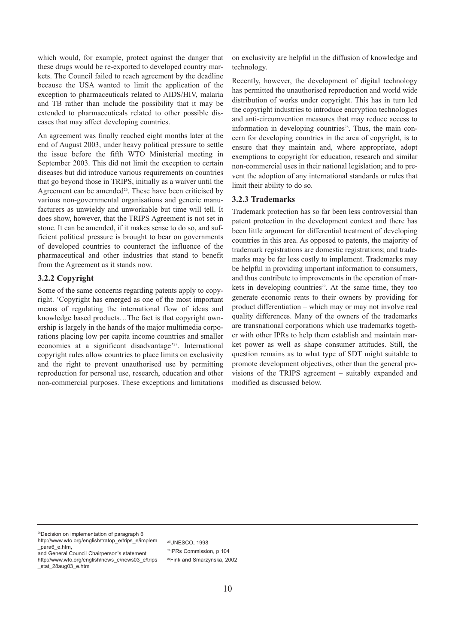<span id="page-11-0"></span>which would, for example, protect against the danger that these drugs would be re-exported to developed country markets. The Council failed to reach agreement by the deadline because the USA wanted to limit the application of the exception to pharmaceuticals related to AIDS/HIV, malaria and TB rather than include the possibility that it may be extended to pharmaceuticals related to other possible diseases that may affect developing countries.

An agreement was finally reached eight months later at the end of August 2003, under heavy political pressure to settle the issue before the fifth WTO Ministerial meeting in September 2003. This did not limit the exception to certain diseases but did introduce various requirements on countries that go beyond those in TRIPS, initially as a waiver until the Agreement can be amended<sup>26</sup>. These have been criticised by various non-governmental organisations and generic manufacturers as unwieldy and unworkable but time will tell. It does show, however, that the TRIPS Agreement is not set in stone. It can be amended, if it makes sense to do so, and sufficient political pressure is brought to bear on governments of developed countries to counteract the influence of the pharmaceutical and other industries that stand to benefit from the Agreement as it stands now.

#### **3.2.2 Copyright**

Some of the same concerns regarding patents apply to copyright. 'Copyright has emerged as one of the most important means of regulating the international flow of ideas and knowledge based products…The fact is that copyright ownership is largely in the hands of the major multimedia corporations placing low per capita income countries and smaller economies at a significant disadvantage'<sup>27</sup>. International copyright rules allow countries to place limits on exclusivity and the right to prevent unauthorised use by permitting reproduction for personal use, research, education and other non-commercial purposes. These exceptions and limitations

on exclusivity are helpful in the diffusion of knowledge and technology.

Recently, however, the development of digital technology has permitted the unauthorised reproduction and world wide distribution of works under copyright. This has in turn led the copyright industries to introduce encryption technologies and anti-circumvention measures that may reduce access to information in developing countries<sup>28</sup>. Thus, the main concern for developing countries in the area of copyright, is to ensure that they maintain and, where appropriate, adopt exemptions to copyright for education, research and similar non-commercial uses in their national legislation; and to prevent the adoption of any international standards or rules that limit their ability to do so.

#### **3.2.3 Trademarks**

Trademark protection has so far been less controversial than patent protection in the development context and there has been little argument for differential treatment of developing countries in this area. As opposed to patents, the majority of trademark registrations are domestic registrations; and trademarks may be far less costly to implement. Trademarks may be helpful in providing important information to consumers, and thus contribute to improvements in the operation of markets in developing countries<sup>29</sup>. At the same time, they too generate economic rents to their owners by providing for product differentiation – which may or may not involve real quality differences. Many of the owners of the trademarks are transnational corporations which use trademarks together with other IPRs to help them establish and maintain market power as well as shape consumer attitudes. Still, the question remains as to what type of SDT might suitable to promote development objectives, other than the general provisions of the TRIPS agreement – suitably expanded and modified as discussed below.

26Decision on implementation of paragraph 6 [http://www.wto.org/english/tratop\\_e/trips\\_e/implem](http://www.wto.org/english/tratop_e/trips_e/implem)

\_para6\_e.htm, and General Council Chairperson's statement

27UNESCO, 1998 28IPRs Commission, p 104 29Fink and Smarzynska, 2002

[http://www.wto.org/english/news\\_e/news03\\_e/trips](http://www.wto.org/english/news_e/news03_e/trips) \_stat\_28aug03\_e.htm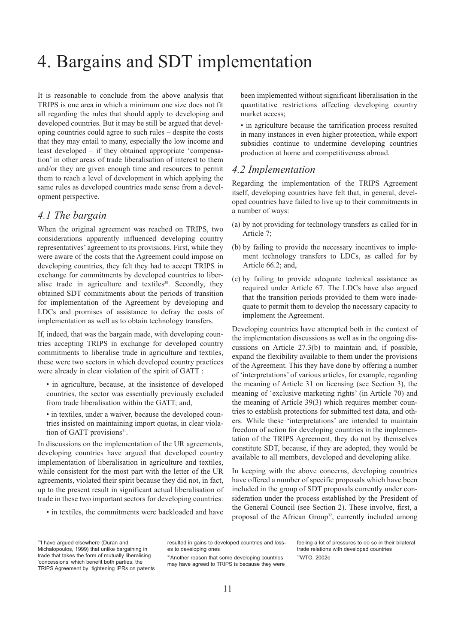# <span id="page-12-0"></span>4. Bargains and SDT implementation

It is reasonable to conclude from the above analysis that TRIPS is one area in which a minimum one size does not fit all regarding the rules that should apply to developing and developed countries. But it may be still be argued that developing countries could agree to such rules – despite the costs that they may entail to many, especially the low income and least developed – if they obtained appropriate 'compensation' in other areas of trade liberalisation of interest to them and/or they are given enough time and resources to permit them to reach a level of development in which applying the same rules as developed countries made sense from a development perspective.

### *4.1 The bargain*

When the original agreement was reached on TRIPS, two considerations apparently influenced developing country representatives' agreement to its provisions. First, while they were aware of the costs that the Agreement could impose on developing countries, they felt they had to accept TRIPS in exchange for commitments by developed countries to liberalise trade in agriculture and textiles<sup>30</sup>. Secondly, they obtained SDT commitments about the periods of transition for implementation of the Agreement by developing and LDCs and promises of assistance to defray the costs of implementation as well as to obtain technology transfers.

If, indeed, that was the bargain made, with developing countries accepting TRIPS in exchange for developed country commitments to liberalise trade in agriculture and textiles, these were two sectors in which developed country practices were already in clear violation of the spirit of GATT :

- in agriculture, because, at the insistence of developed countries, the sector was essentially previously excluded from trade liberalisation within the GATT; and,
- in textiles, under a waiver, because the developed countries insisted on maintaining import quotas, in clear violation of GATT provisions<sup>31</sup>.

In discussions on the implementation of the UR agreements, developing countries have argued that developed country implementation of liberalisation in agriculture and textiles, while consistent for the most part with the letter of the UR agreements, violated their spirit because they did not, in fact, up to the present result in significant actual liberalisation of trade in these two important sectors for developing countries:

• in textiles, the commitments were backloaded and have

been implemented without significant liberalisation in the quantitative restrictions affecting developing country market access;

• in agriculture because the tarrification process resulted in many instances in even higher protection, while export subsidies continue to undermine developing countries production at home and competitiveness abroad.

#### *4.2 Implementation*

Regarding the implementation of the TRIPS Agreement itself, developing countries have felt that, in general, developed countries have failed to live up to their commitments in a number of ways:

- (a) by not providing for technology transfers as called for in Article 7;
- (b) by failing to provide the necessary incentives to implement technology transfers to LDCs, as called for by Article 66.2; and,
- (c) by failing to provide adequate technical assistance as required under Article 67. The LDCs have also argued that the transition periods provided to them were inadequate to permit them to develop the necessary capacity to implement the Agreement.

Developing countries have attempted both in the context of the implementation discussions as well as in the ongoing discussions on Article 27.3(b) to maintain and, if possible, expand the flexibility available to them under the provisions of the Agreement. This they have done by offering a number of 'interpretations' of various articles, for example, regarding the meaning of Article 31 on licensing (see Section 3), the meaning of 'exclusive marketing rights' (in Article 70) and the meaning of Article 39(3) which requires member countries to establish protections for submitted test data, and others. While these 'interpretations' are intended to maintain freedom of action for developing countries in the implementation of the TRIPS Agreement, they do not by themselves constitute SDT, because, if they are adopted, they would be available to all members, developed and developing alike.

In keeping with the above concerns, developing countries have offered a number of specific proposals which have been included in the group of SDT proposals currently under consideration under the process established by the President of the General Council (see Section 2). These involve, first, a proposal of the African Group<sup>32</sup>, currently included among

<sup>30</sup>I have argued elsewhere (Duran and Michalopoulos, 1999) that unlike bargaining in trade that takes the form of mutually liberalising 'concessions' which benefit both parties, the TRIPS Agreement by tightening IPRs on patents resulted in gains to developed countries and losses to developing ones

<sup>31</sup>Another reason that some developing countries may have agreed to TRIPS is because they were feeling a lot of pressures to do so in their bilateral trade relations with developed countries 32WTO, 2002e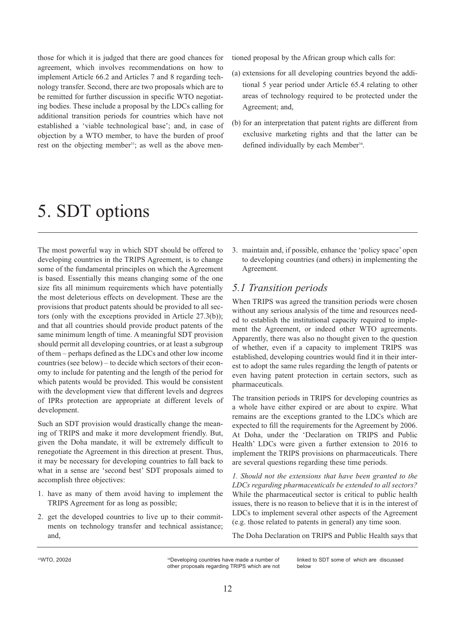<span id="page-13-0"></span>those for which it is judged that there are good chances for agreement, which involves recommendations on how to implement Article 66.2 and Articles 7 and 8 regarding technology transfer. Second, there are two proposals which are to be remitted for further discussion in specific WTO negotiating bodies. These include a proposal by the LDCs calling for additional transition periods for countries which have not established a 'viable technological base'; and, in case of objection by a WTO member, to have the burden of proof rest on the objecting member<sup>33</sup>; as well as the above men-

# 5. SDT options

The most powerful way in which SDT should be offered to developing countries in the TRIPS Agreement, is to change some of the fundamental principles on which the Agreement is based. Essentially this means changing some of the one size fits all minimum requirements which have potentially the most deleterious effects on development. These are the provisions that product patents should be provided to all sectors (only with the exceptions provided in Article 27.3(b)); and that all countries should provide product patents of the same minimum length of time. A meaningful SDT provision should permit all developing countries, or at least a subgroup of them – perhaps defined as the LDCs and other low income countries (see below) – to decide which sectors of their economy to include for patenting and the length of the period for which patents would be provided. This would be consistent with the development view that different levels and degrees of IPRs protection are appropriate at different levels of development.

Such an SDT provision would drastically change the meaning of TRIPS and make it more development friendly. But, given the Doha mandate, it will be extremely difficult to renegotiate the Agreement in this direction at present. Thus, it may be necessary for developing countries to fall back to what in a sense are 'second best' SDT proposals aimed to accomplish three objectives:

- 1. have as many of them avoid having to implement the TRIPS Agreement for as long as possible;
- 2. get the developed countries to live up to their commitments on technology transfer and technical assistance; and,

tioned proposal by the African group which calls for:

- (a) extensions for all developing countries beyond the additional 5 year period under Article 65.4 relating to other areas of technology required to be protected under the Agreement; and,
- (b) for an interpretation that patent rights are different from exclusive marketing rights and that the latter can be defined individually by each Member<sup>34</sup>.

3. maintain and, if possible, enhance the 'policy space' open to developing countries (and others) in implementing the Agreement.

### *5.1 Transition periods*

When TRIPS was agreed the transition periods were chosen without any serious analysis of the time and resources needed to establish the institutional capacity required to implement the Agreement, or indeed other WTO agreements. Apparently, there was also no thought given to the question of whether, even if a capacity to implement TRIPS was established, developing countries would find it in their interest to adopt the same rules regarding the length of patents or even having patent protection in certain sectors, such as pharmaceuticals.

The transition periods in TRIPS for developing countries as a whole have either expired or are about to expire. What remains are the exceptions granted to the LDCs which are expected to fill the requirements for the Agreement by 2006. At Doha, under the 'Declaration on TRIPS and Public Health' LDCs were given a further extension to 2016 to implement the TRIPS provisions on pharmaceuticals. There are several questions regarding these time periods.

*1. Should not the extensions that have been granted to the LDCs regarding pharmaceuticals be extended to all sectors?* While the pharmaceutical sector is critical to public health issues, there is no reason to believe that it is in the interest of LDCs to implement several other aspects of the Agreement (e.g. those related to patents in general) any time soon.

The Doha Declaration on TRIPS and Public Health says that

<sup>33</sup>WTO, 2002d 3000 and 34Developing countries have made a number of other proposals regarding TRIPS which are not linked to SDT some of which are discussed below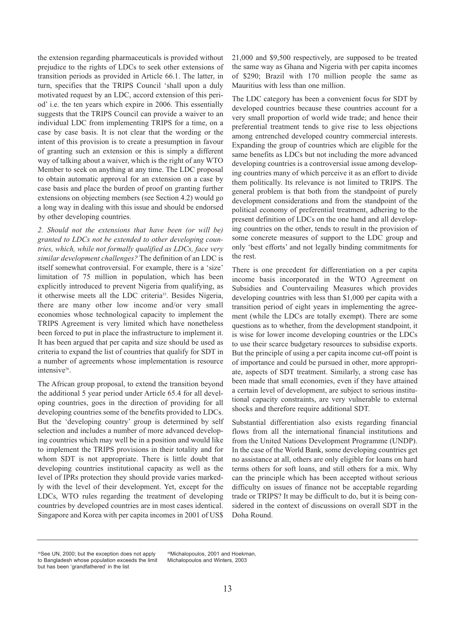the extension regarding pharmaceuticals is provided without prejudice to the rights of LDCs to seek other extensions of transition periods as provided in Article 66.1. The latter, in turn, specifies that the TRIPS Council 'shall upon a duly motivated request by an LDC, accord extension of this period' i.e. the ten years which expire in 2006. This essentially suggests that the TRIPS Council can provide a waiver to an individual LDC from implementing TRIPS for a time, on a case by case basis. It is not clear that the wording or the intent of this provision is to create a presumption in favour of granting such an extension or this is simply a different way of talking about a waiver, which is the right of any WTO Member to seek on anything at any time. The LDC proposal to obtain automatic approval for an extension on a case by case basis and place the burden of proof on granting further extensions on objecting members (see Section 4.2) would go a long way in dealing with this issue and should be endorsed by other developing countries.

*2. Should not the extensions that have been (or will be) granted to LDCs not be extended to other developing countries, which, while not formally qualified as LDCs, face very similar development challenges?* The definition of an LDC is itself somewhat controversial. For example, there is a 'size' limitation of 75 million in population, which has been explicitly introduced to prevent Nigeria from qualifying, as it otherwise meets all the LDC criteria<sup>35</sup>. Besides Nigeria, there are many other low income and/or very small economies whose technological capacity to implement the TRIPS Agreement is very limited which have nonetheless been forced to put in place the infrastructure to implement it. It has been argued that per capita and size should be used as criteria to expand the list of countries that qualify for SDT in a number of agreements whose implementation is resource intensive<sup>36</sup>.

The African group proposal, to extend the transition beyond the additional 5 year period under Article 65.4 for all developing countries, goes in the direction of providing for all developing countries some of the benefits provided to LDCs. But the 'developing country' group is determined by self selection and includes a number of more advanced developing countries which may well be in a position and would like to implement the TRIPS provisions in their totality and for whom SDT is not appropriate. There is little doubt that developing countries institutional capacity as well as the level of IPRs protection they should provide varies markedly with the level of their development. Yet, except for the LDCs, WTO rules regarding the treatment of developing countries by developed countries are in most cases identical. Singapore and Korea with per capita incomes in 2001 of US\$

21,000 and \$9,500 respectively, are supposed to be treated the same way as Ghana and Nigeria with per capita incomes of \$290; Brazil with 170 million people the same as Mauritius with less than one million.

The LDC category has been a convenient focus for SDT by developed countries because these countries account for a very small proportion of world wide trade; and hence their preferential treatment tends to give rise to less objections among entrenched developed country commercial interests. Expanding the group of countries which are eligible for the same benefits as LDCs but not including the more advanced developing countries is a controversial issue among developing countries many of which perceive it as an effort to divide them politically. Its relevance is not limited to TRIPS. The general problem is that both from the standpoint of purely development considerations and from the standpoint of the political economy of preferential treatment, adhering to the present definition of LDCs on the one hand and all developing countries on the other, tends to result in the provision of some concrete measures of support to the LDC group and only 'best efforts' and not legally binding commitments for the rest.

There is one precedent for differentiation on a per capita income basis incorporated in the WTO Agreement on Subsidies and Countervailing Measures which provides developing countries with less than \$1,000 per capita with a transition period of eight years in implementing the agreement (while the LDCs are totally exempt). There are some questions as to whether, from the development standpoint, it is wise for lower income developing countries or the LDCs to use their scarce budgetary resources to subsidise exports. But the principle of using a per capita income cut-off point is of importance and could be pursued in other, more appropriate, aspects of SDT treatment. Similarly, a strong case has been made that small economies, even if they have attained a certain level of development, are subject to serious institutional capacity constraints, are very vulnerable to external shocks and therefore require additional SDT.

Substantial differentiation also exists regarding financial flows from all the international financial institutions and from the United Nations Development Programme (UNDP). In the case of the World Bank, some developing countries get no assistance at all, others are only eligible for loans on hard terms others for soft loans, and still others for a mix. Why can the principle which has been accepted without serious difficulty on issues of finance not be acceptable regarding trade or TRIPS? It may be difficult to do, but it is being considered in the context of discussions on overall SDT in the Doha Round.

<sup>&</sup>lt;sup>35</sup>See UN, 2000; but the exception does not apply to Bangladesh whose population exceeds the limit but has been 'grandfathered' in the list

<sup>36</sup>Michalopoulos, 2001 and Hoekman, Michalopoulos and Winters, 2003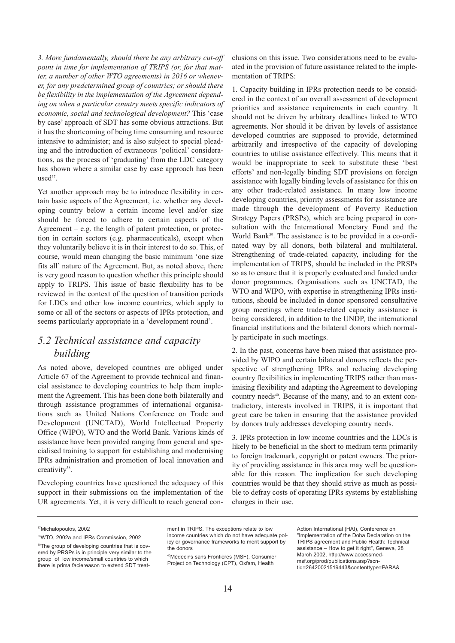<span id="page-15-0"></span>*3. More fundamentally, should there be any arbitrary cut-off point in time for implementation of TRIPS (or, for that matter, a number of other WTO agreements) in 2016 or whenever, for any predetermined group of countries; or should there be flexibility in the implementation of the Agreement depending on when a particular country meets specific indicators of economic, social and technological development?* This 'case by case' approach of SDT has some obvious attractions. But it has the shortcoming of being time consuming and resource intensive to administer; and is also subject to special pleading and the introduction of extraneous 'political' considerations, as the process of 'graduating' from the LDC category has shown where a similar case by case approach has been  $used<sup>37</sup>$ .

Yet another approach may be to introduce flexibility in certain basic aspects of the Agreement, i.e. whether any developing country below a certain income level and/or size should be forced to adhere to certain aspects of the Agreement  $-$  e.g. the length of patent protection, or protection in certain sectors (e.g. pharmaceuticals), except when they voluntarily believe it is in their interest to do so. This, of course, would mean changing the basic minimum 'one size fits all' nature of the Agreement. But, as noted above, there is very good reason to question whether this principle should apply to TRIPS. This issue of basic flexibility has to be reviewed in the context of the question of transition periods for LDCs and other low income countries, which apply to some or all of the sectors or aspects of IPRs protection, and seems particularly appropriate in a 'development round'.

# *5.2 Technical assistance and capacity building*

As noted above, developed countries are obliged under Article 67 of the Agreement to provide technical and financial assistance to developing countries to help them implement the Agreement. This has been done both bilaterally and through assistance programmes of international organisations such as United Nations Conference on Trade and Development (UNCTAD), World Intellectual Property Office (WIPO), WTO and the World Bank. Various kinds of assistance have been provided ranging from general and specialised training to support for establishing and modernising IPRs administration and promotion of local innovation and creativity<sup>38</sup>.

Developing countries have questioned the adequacy of this support in their submissions on the implementation of the UR agreements. Yet, it is very difficult to reach general conclusions on this issue. Two considerations need to be evaluated in the provision of future assistance related to the implementation of TRIPS:

1. Capacity building in IPRs protection needs to be considered in the context of an overall assessment of development priorities and assistance requirements in each country. It should not be driven by arbitrary deadlines linked to WTO agreements. Nor should it be driven by levels of assistance developed countries are supposed to provide, determined arbitrarily and irrespective of the capacity of developing countries to utilise assistance effectively. This means that it would be inappropriate to seek to substitute these 'best efforts' and non-legally binding SDT provisions on foreign assistance with legally binding levels of assistance for this on any other trade-related assistance. In many low income developing countries, priority assessments for assistance are made through the development of Poverty Reduction Strategy Papers (PRSPs), which are being prepared in consultation with the International Monetary Fund and the World Bank<sup>39</sup>. The assistance is to be provided in a co-ordinated way by all donors, both bilateral and multilateral. Strengthening of trade-related capacity, including for the implementation of TRIPS, should be included in the PRSPs so as to ensure that it is properly evaluated and funded under donor programmes. Organisations such as UNCTAD, the WTO and WIPO, with expertise in strengthening IPRs institutions, should be included in donor sponsored consultative group meetings where trade-related capacity assistance is being considered, in addition to the UNDP, the international financial institutions and the bilateral donors which normally participate in such meetings.

2. In the past, concerns have been raised that assistance provided by WIPO and certain bilateral donors reflects the perspective of strengthening IPRs and reducing developing country flexibilities in implementing TRIPS rather than maximising flexibility and adapting the Agreement to developing country needs<sup>40</sup>. Because of the many, and to an extent contradictory, interests involved in TRIPS, it is important that great care be taken in ensuring that the assistance provided by donors truly addresses developing country needs.

3. IPRs protection in low income countries and the LDCs is likely to be beneficial in the short to medium term primarily to foreign trademark, copyright or patent owners. The priority of providing assistance in this area may well be questionable for this reason. The implication for such developing countries would be that they should strive as much as possible to defray costs of operating IPRs systems by establishing charges in their use.

37Michalopoulos, 2002

ment in TRIPS. The exceptions relate to low income countries which do not have adequate policy or governance frameworks to merit support by

the donors 40Médecins sans Frontières (MSF), Consumer Project on Technology (CPT), Oxfam, Health

Action International (HAI), Conference on "Implementation of the Doha Declaration on the TRIPS agreement and Public Health: Technical assistance – How to get it right", Geneva, 28 March 2002, http://www.accessmedmsf.org/prod/publications.asp?scn[tid=26420021519443&contenttype=PARA&](http://www.accessmedmsf.org/prod/publications.asp?scntid=26420021519443&contenttype=PARA&)

<sup>38</sup>WTO, 2002a and IPRs Commission, 2002

<sup>&</sup>lt;sup>39</sup>The group of developing countries that is covered by PRSPs is in principle very similar to the group of low income/small countries to which there is prima faciereason to extend SDT treat-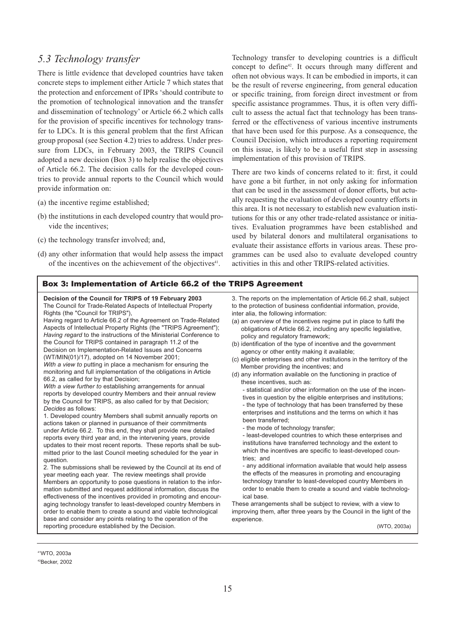### <span id="page-16-0"></span>*5.3 Technology transfer*

There is little evidence that developed countries have taken concrete steps to implement either Article 7 which states that the protection and enforcement of IPRs 'should contribute to the promotion of technological innovation and the transfer and dissemination of technology' or Article 66.2 which calls for the provision of specific incentives for technology transfer to LDCs. It is this general problem that the first African group proposal (see Section 4.2) tries to address. Under pressure from LDCs, in February 2003, the TRIPS Council adopted a new decision (Box 3) to help realise the objectives of Article 66.2. The decision calls for the developed countries to provide annual reports to the Council which would provide information on:

- (a) the incentive regime established;
- (b) the institutions in each developed country that would provide the incentives;
- (c) the technology transfer involved; and,
- (d) any other information that would help assess the impact of the incentives on the achievement of the objectives<sup>41</sup>.

#### Box 3: Implementation of Article 66.2 of the TRIPS Agreement

**Decision of the Council for TRIPS of 19 February 2003** The Council for Trade-Related Aspects of Intellectual Property Rights (the "Council for TRIPS"),

Having regard to Article 66.2 of the Agreement on Trade-Related Aspects of Intellectual Property Rights (the "TRIPS Agreement"); *Having regard* to the instructions of the Ministerial Conference to the Council for TRIPS contained in paragraph 11.2 of the Decision on Implementation-Related Issues and Concerns (WT/MIN(01)/17), adopted on 14 November 2001; *With a view to* putting in place a mechanism for ensuring the monitoring and full implementation of the obligations in Article 66.2, as called for by that Decision;

*With a view further to* establishing arrangements for annual reports by developed country Members and their annual review by the Council for TRIPS, as also called for by that Decision; *Decides* as follows:

1. Developed country Members shall submit annually reports on actions taken or planned in pursuance of their commitments under Article 66.2. To this end, they shall provide new detailed reports every third year and, in the intervening years, provide updates to their most recent reports. These reports shall be submitted prior to the last Council meeting scheduled for the year in question.

2. The submissions shall be reviewed by the Council at its end of year meeting each year. The review meetings shall provide Members an opportunity to pose questions in relation to the information submitted and request additional information, discuss the effectiveness of the incentives provided in promoting and encouraging technology transfer to least-developed country Members in order to enable them to create a sound and viable technological base and consider any points relating to the operation of the reporting procedure established by the Decision.

Technology transfer to developing countries is a difficult concept to define<sup>42</sup>. It occurs through many different and often not obvious ways. It can be embodied in imports, it can be the result of reverse engineering, from general education or specific training, from foreign direct investment or from specific assistance programmes. Thus, it is often very difficult to assess the actual fact that technology has been transferred or the effectiveness of various incentive instruments that have been used for this purpose. As a consequence, the Council Decision, which introduces a reporting requirement on this issue, is likely to be a useful first step in assessing implementation of this provision of TRIPS.

There are two kinds of concerns related to it: first, it could have gone a bit further, in not only asking for information that can be used in the assessment of donor efforts, but actually requesting the evaluation of developed country efforts in this area. It is not necessary to establish new evaluation institutions for this or any other trade-related assistance or initiatives. Evaluation programmes have been established and used by bilateral donors and multilateral organisations to evaluate their assistance efforts in various areas. These programmes can be used also to evaluate developed country activities in this and other TRIPS-related activities.

3. The reports on the implementation of Article 66.2 shall, subject to the protection of business confidential information, provide, inter alia, the following information:

- (a) an overview of the incentives regime put in place to fulfil the obligations of Article 66.2, including any specific legislative, policy and regulatory framework;
- (b) identification of the type of incentive and the government agency or other entity making it available;
- (c) eligible enterprises and other institutions in the territory of the Member providing the incentives; and
- (d) any information available on the functioning in practice of these incentives, such as:

- statistical and/or other information on the use of the incentives in question by the eligible enterprises and institutions; - the type of technology that has been transferred by these enterprises and institutions and the terms on which it has been transferred;

- the mode of technology transfer;

- least-developed countries to which these enterprises and institutions have transferred technology and the extent to which the incentives are specific to least-developed countries; and

- any additional information available that would help assess the effects of the measures in promoting and encouraging technology transfer to least-developed country Members in order to enable them to create a sound and viable technological base.

These arrangements shall be subject to review, with a view to improving them, after three years by the Council in the light of the experience.

(WTO, 2003a)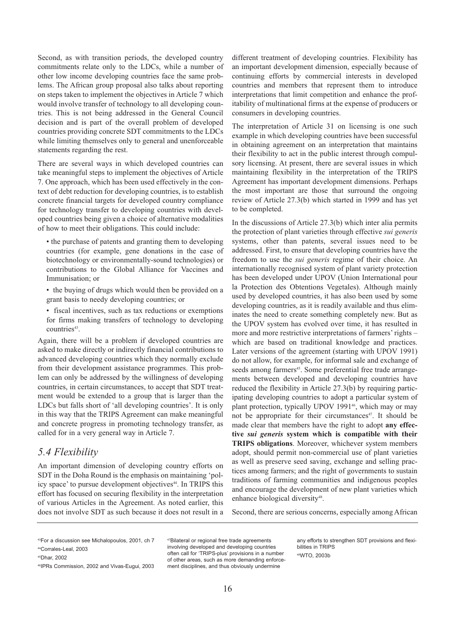<span id="page-17-0"></span>Second, as with transition periods, the developed country commitments relate only to the LDCs, while a number of other low income developing countries face the same problems. The African group proposal also talks about reporting on steps taken to implement the objectives in Article 7 which would involve transfer of technology to all developing countries. This is not being addressed in the General Council decision and is part of the overall problem of developed countries providing concrete SDT commitments to the LDCs while limiting themselves only to general and unenforceable statements regarding the rest.

There are several ways in which developed countries can take meaningful steps to implement the objectives of Article 7. One approach, which has been used effectively in the context of debt reduction for developing countries, is to establish concrete financial targets for developed country compliance for technology transfer to developing countries with developed countries being given a choice of alternative modalities of how to meet their obligations. This could include:

• the purchase of patents and granting them to developing countries (for example, gene donations in the case of biotechnology or environmentally-sound technologies) or contributions to the Global Alliance for Vaccines and Immunisation; or

- the buying of drugs which would then be provided on a grant basis to needy developing countries; or
- fiscal incentives, such as tax reductions or exemptions for firms making transfers of technology to developing countries<sup>43</sup>

Again, there will be a problem if developed countries are asked to make directly or indirectly financial contributions to advanced developing countries which they normally exclude from their development assistance programmes. This problem can only be addressed by the willingness of developing countries, in certain circumstances, to accept that SDT treatment would be extended to a group that is larger than the LDCs but falls short of 'all developing countries'. It is only in this way that the TRIPS Agreement can make meaningful and concrete progress in promoting technology transfer, as called for in a very general way in Article 7.

### *5.4 Flexibility*

An important dimension of developing country efforts on SDT in the Doha Round is the emphasis on maintaining 'policy space' to pursue development objectives<sup>44</sup>. In TRIPS this effort has focused on securing flexibility in the interpretation of various Articles in the Agreement. As noted earlier, this does not involve SDT as such because it does not result in a

different treatment of developing countries. Flexibility has an important development dimension, especially because of continuing efforts by commercial interests in developed countries and members that represent them to introduce interpretations that limit competition and enhance the profitability of multinational firms at the expense of producers or consumers in developing countries.

The interpretation of Article 31 on licensing is one such example in which developing countries have been successful in obtaining agreement on an interpretation that maintains their flexibility to act in the public interest through compulsory licensing. At present, there are several issues in which maintaining flexibility in the interpretation of the TRIPS Agreement has important development dimensions. Perhaps the most important are those that surround the ongoing review of Article 27.3(b) which started in 1999 and has yet to be completed.

In the discussions of Article 27.3(b) which inter alia permits the protection of plant varieties through effective *sui generis* systems, other than patents, several issues need to be addressed. First, to ensure that developing countries have the freedom to use the *sui generis* regime of their choice. An internationally recognised system of plant variety protection has been developed under UPOV (Union International pour la Protection des Obtentions Vegetales). Although mainly used by developed countries, it has also been used by some developing countries, as it is readily available and thus eliminates the need to create something completely new. But as the UPOV system has evolved over time, it has resulted in more and more restrictive interpretations of farmers' rights – which are based on traditional knowledge and practices. Later versions of the agreement (starting with UPOV 1991) do not allow, for example, for informal sale and exchange of seeds among farmers<sup>45</sup>. Some preferential free trade arrangements between developed and developing countries have reduced the flexibility in Article 27.3(b) by requiring participating developing countries to adopt a particular system of plant protection, typically UPOV 1991<sup>46</sup>, which may or may not be appropriate for their circumstances<sup>47</sup>. It should be made clear that members have the right to adopt **any effective** *sui generis* **system which is compatible with their TRIPS obligations**. Moreover, whichever system members adopt, should permit non-commercial use of plant varieties as well as preserve seed saving, exchange and selling practices among farmers; and the right of governments to sustain traditions of farming communities and indigenous peoples and encourage the development of new plant varieties which enhance biological diversity<sup>48</sup>.

Second, there are serious concerns, especially among African

47Bilateral or regional free trade agreements involving developed and developing countries often call for 'TRIPS-plus' provisions in a number of other areas, such as more demanding enforcement disciplines, and thus obviously undermine

any efforts to strengthen SDT provisions and flexibilities in TRIPS 48WTO, 2003b

<sup>43</sup>For a discussion see Michalopoulos, 2001, ch 7 44Corrales-Leal, 2003

<sup>45</sup>Dhar, 2002

<sup>46</sup>IPRs Commission, 2002 and Vivas-Eugui, 2003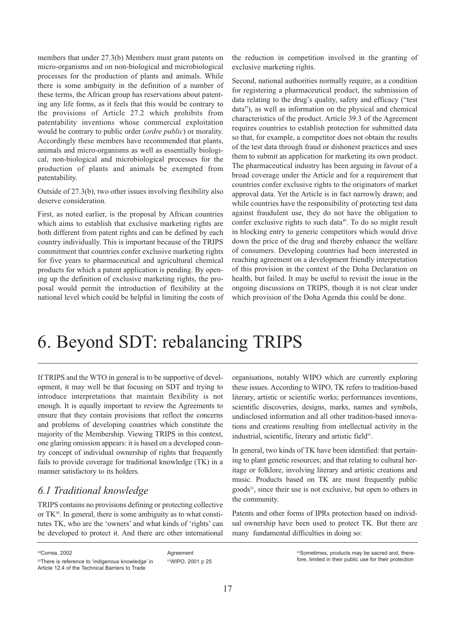<span id="page-18-0"></span>members that under 27.3(b) Members must grant patents on micro-organisms and on non-biological and microbiological processes for the production of plants and animals. While there is some ambiguity in the definition of a number of these terms, the African group has reservations about patenting any life forms, as it feels that this would be contrary to the provisions of Article 27.2 which prohibits from patentability inventions whose commercial exploitation would be contrary to public order (*ordre public*) or morality. Accordingly these members have recommended that plants, animals and micro-organisms as well as essentially biological, non-biological and microbiological processes for the production of plants and animals be exempted from patentability.

Outside of 27.3(b), two other issues involving flexibility also deserve consideration.

First, as noted earlier, is the proposal by African countries which aims to establish that exclusive marketing rights are both different from patent rights and can be defined by each country individually. This is important because of the TRIPS commitment that countries confer exclusive marketing rights for five years to pharmaceutical and agricultural chemical products for which a patent application is pending. By opening up the definition of exclusive marketing rights, the proposal would permit the introduction of flexibility at the national level which could be helpful in limiting the costs of

the reduction in competition involved in the granting of exclusive marketing rights.

Second, national authorities normally require, as a condition for registering a pharmaceutical product, the submission of data relating to the drug's quality, safety and efficacy ("test data"), as well as information on the physical and chemical characteristics of the product. Article 39.3 of the Agreement requires countries to establish protection for submitted data so that, for example, a competitor does not obtain the results of the test data through fraud or dishonest practices and uses them to submit an application for marketing its own product. The pharmaceutical industry has been arguing in favour of a broad coverage under the Article and for a requirement that countries confer exclusive rights to the originators of market approval data. Yet the Article is in fact narrowly drawn; and while countries have the responsibility of protecting test data against fraudulent use, they do not have the obligation to confer exclusive rights to such data<sup>49</sup>. To do so might result in blocking entry to generic competitors which would drive down the price of the drug and thereby enhance the welfare of consumers. Developing countries had been interested in reaching agreement on a development friendly interpretation of this provision in the context of the Doha Declaration on health, but failed. It may be useful to revisit the issue in the ongoing discussions on TRIPS, though it is not clear under which provision of the Doha Agenda this could be done.

# 6. Beyond SDT: rebalancing TRIPS

If TRIPS and the WTO in general is to be supportive of development, it may well be that focusing on SDT and trying to introduce interpretations that maintain flexibility is not enough. It is equally important to review the Agreements to ensure that they contain provisions that reflect the concerns and problems of developing countries which constitute the majority of the Membership. Viewing TRIPS in this context, one glaring omission appears: it is based on a developed country concept of individual ownership of rights that frequently fails to provide coverage for traditional knowledge (TK) in a manner satisfactory to its holders.

## *6.1 Traditional knowledge*

TRIPS contains no provisions defining or protecting collective or  $TK<sup>50</sup>$ . In general, there is some ambiguity as to what constitutes TK, who are the 'owners' and what kinds of 'rights' can be developed to protect it. And there are other international

organisations, notably WIPO which are currently exploring these issues. According to WIPO, TK refers to tradition-based literary, artistic or scientific works; performances inventions, scientific discoveries, designs, marks, names and symbols, undisclosed information and all other tradition-based innovations and creations resulting from intellectual activity in the industrial, scientific, literary and artistic field<sup>51</sup>.

In general, two kinds of TK have been identified: that pertaining to plant genetic resources; and that relating to cultural heritage or folklore, involving literary and artistic creations and music. Products based on TK are most frequently public goods<sup>52</sup>, since their use is not exclusive, but open to others in the community.

Patents and other forms of IPRs protection based on individual ownership have been used to protect TK. But there are many fundamental difficulties in doing so:

49Correa, 2002 50There is reference to 'indigenous knowledge' in Article 12.4 of the Technical Barriers to Trade Agreement 51WIPO, 2001 p 25

<sup>52</sup>Sometimes, products may be sacred and, therefore, limited in their public use for their protection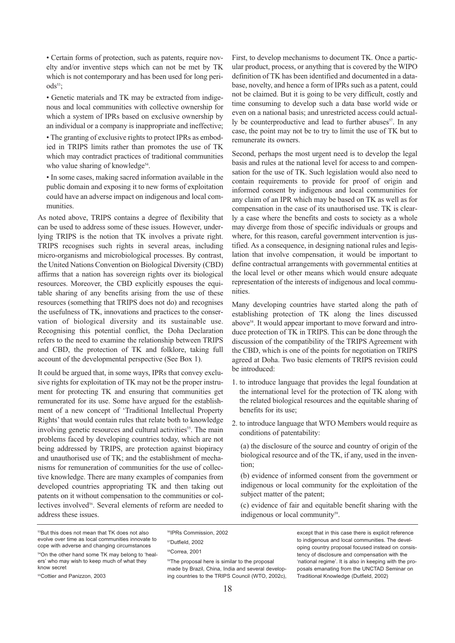• Certain forms of protection, such as patents, require novelty and/or inventive steps which can not be met by TK which is not contemporary and has been used for long peri- $\text{ods}^{53}$ ;

• Genetic materials and TK may be extracted from indigenous and local communities with collective ownership for which a system of IPRs based on exclusive ownership by an individual or a company is inappropriate and ineffective;

• The granting of exclusive rights to protect IPRs as embodied in TRIPS limits rather than promotes the use of TK which may contradict practices of traditional communities who value sharing of knowledge<sup>54</sup>.

• In some cases, making sacred information available in the public domain and exposing it to new forms of exploitation could have an adverse impact on indigenous and local communities.

As noted above, TRIPS contains a degree of flexibility that can be used to address some of these issues. However, underlying TRIPS is the notion that TK involves a private right. TRIPS recognises such rights in several areas, including micro-organisms and microbiological processes. By contrast, the United Nations Convention on Biological Diversity (CBD) affirms that a nation has sovereign rights over its biological resources. Moreover, the CBD explicitly espouses the equitable sharing of any benefits arising from the use of these resources (something that TRIPS does not do) and recognises the usefulness of TK, innovations and practices to the conservation of biological diversity and its sustainable use. Recognising this potential conflict, the Doha Declaration refers to the need to examine the relationship between TRIPS and CBD, the protection of TK and folklore, taking full account of the developmental perspective (See Box 1).

It could be argued that, in some ways, IPRs that convey exclusive rights for exploitation of TK may not be the proper instrument for protecting TK and ensuring that communities get remunerated for its use. Some have argued for the establishment of a new concept of 'Traditional Intellectual Property Rights' that would contain rules that relate both to knowledge involving genetic resources and cultural activities<sup>55</sup>. The main problems faced by developing countries today, which are not being addressed by TRIPS, are protection against biopiracy and unauthorised use of TK; and the establishment of mechanisms for remuneration of communities for the use of collective knowledge. There are many examples of companies from developed countries appropriating TK and then taking out patents on it without compensation to the communities or collectives involved<sup>56</sup>. Several elements of reform are needed to address these issues.

First, to develop mechanisms to document TK. Once a particular product, process, or anything that is covered by the WIPO definition of TK has been identified and documented in a database, novelty, and hence a form of IPRs such as a patent, could not be claimed. But it is going to be very difficult, costly and time consuming to develop such a data base world wide or even on a national basis; and unrestricted access could actually be counterproductive and lead to further abuses<sup>57</sup>. In any case, the point may not be to try to limit the use of TK but to remunerate its owners.

Second, perhaps the most urgent need is to develop the legal basis and rules at the national level for access to and compensation for the use of TK. Such legislation would also need to contain requirements to provide for proof of origin and informed consent by indigenous and local communities for any claim of an IPR which may be based on TK as well as for compensation in the case of its unauthorised use. TK is clearly a case where the benefits and costs to society as a whole may diverge from those of specific individuals or groups and where, for this reason, careful government intervention is justified. As a consequence, in designing national rules and legislation that involve compensation, it would be important to define contractual arrangements with governmental entities at the local level or other means which would ensure adequate representation of the interests of indigenous and local communities.

Many developing countries have started along the path of establishing protection of TK along the lines discussed above<sup>58</sup>. It would appear important to move forward and introduce protection of TK in TRIPS. This can be done through the discussion of the compatibility of the TRIPS Agreement with the CBD, which is one of the points for negotiation on TRIPS agreed at Doha. Two basic elements of TRIPS revision could be introduced:

- 1. to introduce language that provides the legal foundation at the international level for the protection of TK along with the related biological resources and the equitable sharing of benefits for its use;
- 2. to introduce language that WTO Members would require as conditions of patentability:

(a) the disclosure of the source and country of origin of the biological resource and of the TK, if any, used in the invention;

(b) evidence of informed consent from the government or indigenous or local community for the exploitation of the subject matter of the patent;

(c) evidence of fair and equitable benefit sharing with the indigenous or local community<sup>59</sup>.

53But this does not mean that TK does not also evolve over time as local communities innovate to cope with adverse and changing circumstances

54On the other hand some TK may belong to 'healers' who may wish to keep much of what they know secret

55Cottier and Panizzon, 2003

56IPRs Commission, 2002

**59The proposal here is similar to the proposal** made by Brazil, China, India and several developing countries to the TRIPS Council (WTO, 2002c),

except that in this case there is explicit reference to indigenous and local communities. The developing country proposal focused instead on consistency of disclosure and compensation with the 'national regime'. It is also in keeping with the proposals emanating from the UNCTAD Seminar on Traditional Knowledge (Dutfield, 2002)

<sup>57</sup>Dutfield, 2002 58Correa, 2001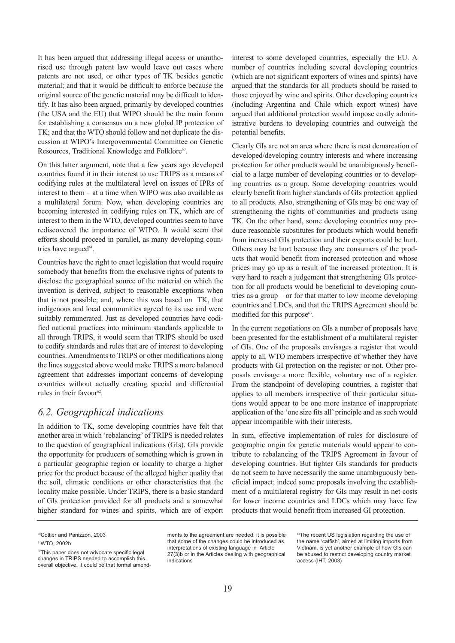<span id="page-20-0"></span>It has been argued that addressing illegal access or unauthorised use through patent law would leave out cases where patents are not used, or other types of TK besides genetic material; and that it would be difficult to enforce because the original source of the genetic material may be difficult to identify. It has also been argued, primarily by developed countries (the USA and the EU) that WIPO should be the main forum for establishing a consensus on a new global IP protection of TK; and that the WTO should follow and not duplicate the discussion at WIPO's Intergovernmental Committee on Genetic Resources, Traditional Knowledge and Folklore<sup>60</sup>.

On this latter argument, note that a few years ago developed countries found it in their interest to use TRIPS as a means of codifying rules at the multilateral level on issues of IPRs of interest to them – at a time when WIPO was also available as a multilateral forum. Now, when developing countries are becoming interested in codifying rules on TK, which are of interest to them in the WTO, developed countries seem to have rediscovered the importance of WIPO. It would seem that efforts should proceed in parallel, as many developing countries have argued<sup>61</sup>.

Countries have the right to enact legislation that would require somebody that benefits from the exclusive rights of patents to disclose the geographical source of the material on which the invention is derived, subject to reasonable exceptions when that is not possible; and, where this was based on TK, that indigenous and local communities agreed to its use and were suitably remunerated. Just as developed countries have codified national practices into minimum standards applicable to all through TRIPS, it would seem that TRIPS should be used to codify standards and rules that are of interest to developing countries. Amendments to TRIPS or other modifications along the lines suggested above would make TRIPS a more balanced agreement that addresses important concerns of developing countries without actually creating special and differential rules in their favour $62$ .

### *6.2. Geographical indications*

In addition to TK, some developing countries have felt that another area in which 'rebalancing' of TRIPS is needed relates to the question of geographical indications (GIs). GIs provide the opportunity for producers of something which is grown in a particular geographic region or locality to charge a higher price for the product because of the alleged higher quality that the soil, climatic conditions or other characteristics that the locality make possible. Under TRIPS, there is a basic standard of GIs protection provided for all products and a somewhat higher standard for wines and spirits, which are of export

interest to some developed countries, especially the EU. A number of countries including several developing countries (which are not significant exporters of wines and spirits) have argued that the standards for all products should be raised to those enjoyed by wine and spirits. Other developing countries (including Argentina and Chile which export wines) have argued that additional protection would impose costly administrative burdens to developing countries and outweigh the potential benefits.

Clearly GIs are not an area where there is neat demarcation of developed/developing country interests and where increasing protection for other products would be unambiguously beneficial to a large number of developing countries or to developing countries as a group. Some developing countries would clearly benefit from higher standards of GIs protection applied to all products. Also, strengthening of GIs may be one way of strengthening the rights of communities and products using TK. On the other hand, some developing countries may produce reasonable substitutes for products which would benefit from increased GIs protection and their exports could be hurt. Others may be hurt because they are consumers of the products that would benefit from increased protection and whose prices may go up as a result of the increased protection. It is very hard to reach a judgement that strengthening GIs protection for all products would be beneficial to developing countries as a group – or for that matter to low income developing countries and LDCs, and that the TRIPS Agreement should be modified for this purpose $63$ .

In the current negotiations on GIs a number of proposals have been presented for the establishment of a multilateral register of GIs. One of the proposals envisages a register that would apply to all WTO members irrespective of whether they have products with GI protection on the register or not. Other proposals envisage a more flexible, voluntary use of a register. From the standpoint of developing countries, a register that applies to all members irrespective of their particular situations would appear to be one more instance of inappropriate application of the 'one size fits all'principle and as such would appear incompatible with their interests.

In sum, effective implementation of rules for disclosure of geographic origin for genetic materials would appear to contribute to rebalancing of the TRIPS Agreement in favour of developing countries. But tighter GIs standards for products do not seem to have necessarily the same unambiguously beneficial impact; indeed some proposals involving the establishment of a multilateral registry for GIs may result in net costs for lower income countries and LDCs which may have few products that would benefit from increased GI protection.

<sup>60</sup>Cottier and Panizzon, 2003

<sup>61</sup>WTO, 2002b

<sup>&</sup>lt;sup>62</sup>This paper does not advocate specific legal changes in TRIPS needed to accomplish this overall objective. It could be that formal amend-

ments to the agreement are needed; it is possible that some of the changes could be introduced as interpretations of existing language in Article 27(3)b or in the Articles dealing with geographical indications

<sup>&</sup>lt;sup>63</sup>The recent US legislation regarding the use of the name 'catfish', aimed at limiting imports from Vietnam, is yet another example of how GIs can be abused to restrict developing country market access (IHT, 2003)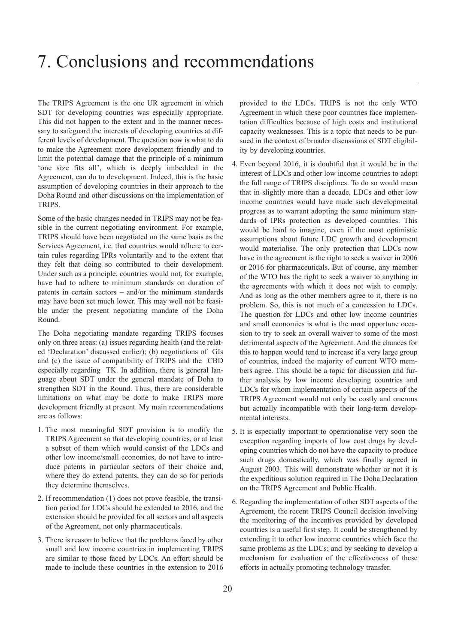<span id="page-21-0"></span>The TRIPS Agreement is the one UR agreement in which SDT for developing countries was especially appropriate. This did not happen to the extent and in the manner necessary to safeguard the interests of developing countries at different levels of development. The question now is what to do to make the Agreement more development friendly and to limit the potential damage that the principle of a minimum 'one size fits all', which is deeply imbedded in the Agreement, can do to development. Indeed, this is the basic assumption of developing countries in their approach to the Doha Round and other discussions on the implementation of TRIPS.

Some of the basic changes needed in TRIPS may not be feasible in the current negotiating environment. For example, TRIPS should have been negotiated on the same basis as the Services Agreement, i.e. that countries would adhere to certain rules regarding IPRs voluntarily and to the extent that they felt that doing so contributed to their development. Under such as a principle, countries would not, for example, have had to adhere to minimum standards on duration of patents in certain sectors – and/or the minimum standards may have been set much lower. This may well not be feasible under the present negotiating mandate of the Doha Round.

The Doha negotiating mandate regarding TRIPS focuses only on three areas: (a) issues regarding health (and the related 'Declaration' discussed earlier); (b) negotiations of GIs and (c) the issue of compatibility of TRIPS and the CBD especially regarding TK. In addition, there is general language about SDT under the general mandate of Doha to strengthen SDT in the Round. Thus, there are considerable limitations on what may be done to make TRIPS more development friendly at present. My main recommendations are as follows:

- 1. The most meaningful SDT provision is to modify the TRIPS Agreement so that developing countries, or at least a subset of them which would consist of the LDCs and other low income/small economies, do not have to introduce patents in particular sectors of their choice and, where they do extend patents, they can do so for periods they determine themselves.
- 2. If recommendation (1) does not prove feasible, the transition period for LDCs should be extended to 2016, and the extension should be provided for all sectors and all aspects of the Agreement, not only pharmaceuticals.
- 3. There is reason to believe that the problems faced by other small and low income countries in implementing TRIPS are similar to those faced by LDCs. An effort should be made to include these countries in the extension to 2016

provided to the LDCs. TRIPS is not the only WTO Agreement in which these poor countries face implementation difficulties because of high costs and institutional capacity weaknesses. This is a topic that needs to be pursued in the context of broader discussions of SDT eligibility by developing countries.

- 4. Even beyond 2016, it is doubtful that it would be in the interest of LDCs and other low income countries to adopt the full range of TRIPS disciplines. To do so would mean that in slightly more than a decade, LDCs and other low income countries would have made such developmental progress as to warrant adopting the same minimum standards of IPRs protection as developed countries. This would be hard to imagine, even if the most optimistic assumptions about future LDC growth and development would materialise. The only protection that LDCs now have in the agreement is the right to seek a waiver in 2006 or 2016 for pharmaceuticals. But of course, any member of the WTO has the right to seek a waiver to anything in the agreements with which it does not wish to comply. And as long as the other members agree to it, there is no problem. So, this is not much of a concession to LDCs. The question for LDCs and other low income countries and small economies is what is the most opportune occasion to try to seek an overall waiver to some of the most detrimental aspects of the Agreement. And the chances for this to happen would tend to increase if a very large group of countries, indeed the majority of current WTO members agree. This should be a topic for discussion and further analysis by low income developing countries and LDCs for whom implementation of certain aspects of the TRIPS Agreement would not only be costly and onerous but actually incompatible with their long-term developmental interests.
- 5. It is especially important to operationalise very soon the exception regarding imports of low cost drugs by developing countries which do not have the capacity to produce such drugs domestically, which was finally agreed in August 2003. This will demonstrate whether or not it is the expeditious solution required in The Doha Declaration on the TRIPS Agreement and Public Health.
- 6. Regarding the implementation of other SDT aspects of the Agreement, the recent TRIPS Council decision involving the monitoring of the incentives provided by developed countries is a useful first step. It could be strengthened by extending it to other low income countries which face the same problems as the LDCs; and by seeking to develop a mechanism for evaluation of the effectiveness of these efforts in actually promoting technology transfer.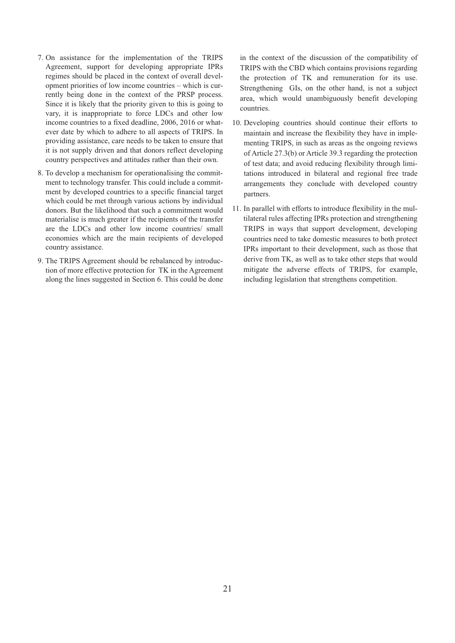- 7. On assistance for the implementation of the TRIPS Agreement, support for developing appropriate IPRs regimes should be placed in the context of overall development priorities of low income countries – which is currently being done in the context of the PRSP process. Since it is likely that the priority given to this is going to vary, it is inappropriate to force LDCs and other low income countries to a fixed deadline, 2006, 2016 or whatever date by which to adhere to all aspects of TRIPS. In providing assistance, care needs to be taken to ensure that it is not supply driven and that donors reflect developing country perspectives and attitudes rather than their own.
- 8. To develop a mechanism for operationalising the commitment to technology transfer. This could include a commitment by developed countries to a specific financial target which could be met through various actions by individual donors. But the likelihood that such a commitment would materialise is much greater if the recipients of the transfer are the LDCs and other low income countries/ small economies which are the main recipients of developed country assistance.
- 9. The TRIPS Agreement should be rebalanced by introduction of more effective protection for TK in the Agreement along the lines suggested in Section 6. This could be done

in the context of the discussion of the compatibility of TRIPS with the CBD which contains provisions regarding the protection of TK and remuneration for its use. Strengthening GIs, on the other hand, is not a subject area, which would unambiguously benefit developing countries.

- 10. Developing countries should continue their efforts to maintain and increase the flexibility they have in implementing TRIPS, in such as areas as the ongoing reviews of Article 27.3(b) or Article 39.3 regarding the protection of test data; and avoid reducing flexibility through limitations introduced in bilateral and regional free trade arrangements they conclude with developed country partners.
- 11. In parallel with efforts to introduce flexibility in the multilateral rules affecting IPRs protection and strengthening TRIPS in ways that support development, developing countries need to take domestic measures to both protect IPRs important to their development, such as those that derive from TK, as well as to take other steps that would mitigate the adverse effects of TRIPS, for example, including legislation that strengthens competition.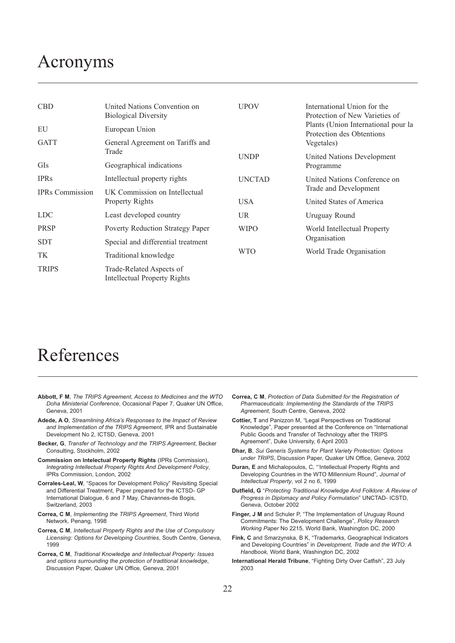# <span id="page-23-0"></span>Acronyms

| <b>CBD</b>             | United Nations Convention on<br><b>Biological Diversity</b> | <b>UPOV</b>   | International Union for the<br>Protection of New Varieties of<br>Plants (Union International pour la<br>Protection des Obtentions |  |
|------------------------|-------------------------------------------------------------|---------------|-----------------------------------------------------------------------------------------------------------------------------------|--|
| EU                     | European Union                                              |               |                                                                                                                                   |  |
| <b>GATT</b>            | General Agreement on Tariffs and<br>Trade                   |               | Vegetales)                                                                                                                        |  |
|                        |                                                             | <b>UNDP</b>   | United Nations Development                                                                                                        |  |
| GIs                    | Geographical indications                                    |               | Programme                                                                                                                         |  |
| <b>IPRs</b>            | Intellectual property rights                                | <b>UNCTAD</b> | United Nations Conference on<br>Trade and Development                                                                             |  |
| <b>IPRs</b> Commission | UK Commission on Intellectual<br><b>Property Rights</b>     |               |                                                                                                                                   |  |
|                        |                                                             | <b>USA</b>    | United States of America                                                                                                          |  |
| <b>LDC</b>             | Least developed country                                     | <b>UR</b>     | Uruguay Round                                                                                                                     |  |
| <b>PRSP</b>            | Poverty Reduction Strategy Paper                            | <b>WIPO</b>   | World Intellectual Property                                                                                                       |  |
| <b>SDT</b>             | Special and differential treatment                          |               | Organisation<br>World Trade Organisation                                                                                          |  |
| TK                     | Traditional knowledge                                       | <b>WTO</b>    |                                                                                                                                   |  |
| <b>TRIPS</b>           | Trade-Related Aspects of<br>Intellectual Property Rights    |               |                                                                                                                                   |  |

# References

- **Abbott, F M**, *The TRIPS Agreement, Access to Medicines and the WTO Doha Ministerial Conference*, Occasional Paper 7, Quaker UN Office, Geneva, 2001
- **Adede, A O**, *Streamlining Africa's Responses to the Impact of Review and Implementation of the TRIPS Agreement*, IPR and Sustainable Development No 2, ICTSD, Geneva, 2001
- **Becker, G**, *Transfer of Technology and the TRIPS Agreement*, Becker Consulting, Stockholm, 2002
- **Commission on Intelectual Property Rights** (IPRs Commission), *Integrating Intellectual Property Rights And Development Policy*, IPRs Commission, London, 2002
- **Corrales-Leal, W**, "Spaces for Development Policy" Revisiting Special and Differential Treatment, Paper prepared for the ICTSD- GP International Dialogue, 6 and 7 May, Chavannes-de Bogis, Switzerland, 2003
- **Correa, C M**, *Implementing the TRIPS Agreement*, Third World Network, Penang, 1998
- **Correa, C M**, *Intellectual Property Rights and the Use of Compulsory Licensing: Options for Developing Countries*, South Centre, Geneva, 1999
- **Correa, C M**, *Traditional Knowledge and Intellectual Property: Issues and options surrounding the protection of traditional knowledge*, Discussion Paper, Quaker UN Office, Geneva, 2001
- **Correa, C M**, *Protection of Data Submitted for the Registration of Pharmaceuticals: Implementing the Standards of the TRIPS Agreement*, South Centre, Geneva, 2002
- **Cottier, T** and Panizzon M, "Legal Perspectives on Traditional Knowledge", Paper presented at the Conference on "International Public Goods and Transfer of Technology after the TRIPS Agreement", Duke University, 6 April 2003
- **Dhar, B**, *Sui Generis Systems for Plant Variety Protection: Options under TRIPS*, Discussion Paper, Quaker UN Office, Geneva, 2002
- **Duran, E** and Michalopoulos, C, "'Intellectual Property Rights and Developing Countries in the WTO Millennium Round", *Journal of Intellectual Property*, vol 2 no 6, 1999
- **Dutfield, G** "*Protecting Traditional Knowledge And Folklore: A Review of Progress in Diplomacy and Policy Formulation*" UNCTAD- ICSTD, Geneva, October 2002
- **Finger, J M** and Schuler P, "The Implementation of Uruguay Round Commitments: The Development Challenge", *Policy Research Working Paper* No 2215, World Bank, Washington DC, 2000
- **Fink, C** and Smarzynska, B K, "Trademarks, Geographical Indicators and Developing Countries" in *Development, Trade and the WTO: A Handbook*, World Bank, Washington DC, 2002
- **International Herald Tribune**, "Fighting Dirty Over Catfish", 23 July 2003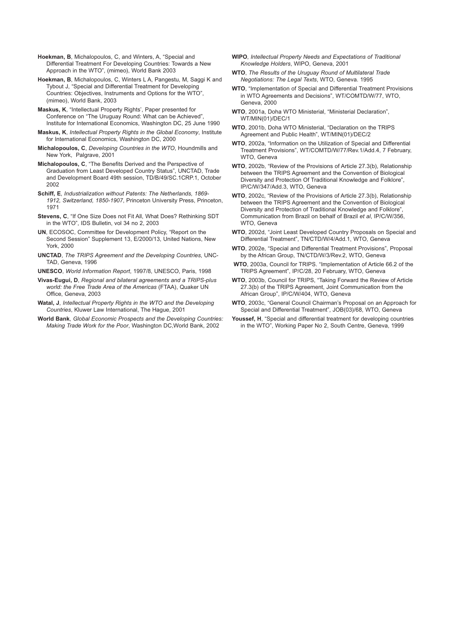**Hoekman, B**, Michalopoulos, C, and Winters, A, "Special and Differential Treatment For Developing Countries: Towards a New Approach in the WTO", (mimeo), World Bank 2003

**Hoekman, B**, Michalopoulos, C, Winters L A, Pangestu, M, Saggi K and Tybout J, "Special and Differential Treatment for Developing Countries: Objectives, Instruments and Options for the WTO", (mimeo), World Bank, 2003

**Maskus, K**, "Intellectual Property Rights', Paper presented for Conference on "The Uruguay Round: What can be Achieved", Institute for International Economics, Washington DC, 25 June 1990

- **Maskus, K**, *Intellectual Property Rights in the Global Economy*, Institute for International Economics, Washington DC, 2000
- **Michalopoulos, C**, *Developing Countries in the WTO*, Houndmills and New York, Palgrave, 2001
- **Michalopoulos, C**, "The Benefits Derived and the Perspective of Graduation from Least Developed Country Status", UNCTAD, Trade and Development Board 49th session, TD/B/49/SC.1CRP.1, October 2002
- **Schiff, E**, *Industrialization without Patents: The Netherlands, 1869- 1912, Switzerland, 1850-1907*, Princeton University Press, Princeton, 1971
- **Stevens, C**, "If One Size Does not Fit All, What Does? Rethinking SDT in the WTO", IDS Bulletin, vol 34 no 2, 2003
- **UN**, ECOSOC, Committee for Development Policy, "Report on the Second Session" Supplement 13, E/2000/13, United Nations, New York, 2000
- **UNCTAD**, *The TRIPS Agreement and the Developing Countries*, UNC-TAD, Geneva, 1996
- **UNESCO**, *World Information Report*, 1997/8, UNESCO, Paris, 1998
- **Vivas-Eugui, D**, *Regional and bilateral agreements and a TRIPS-plus world: the Free Trade Area of the Americas* (FTAA), Quaker UN Office, Geneva, 2003
- **Watal, J**, *Intellectual Property Rights in the WTO and the Developing Countries*, Kluwer Law International, The Hague, 2001
- **World Bank**, *Global Economic Prospects and the Developing Countries: Making Trade Work for the Poor*, Washington DC,World Bank, 2002
- **WIPO**, *Intellectual Property Needs and Expectations of Traditional Knowledge Holders*, WIPO, Geneva, 2001
- **WTO**, *The Results of the Uruguay Round of Multilateral Trade Negotiations: The Legal Texts*, WTO, Geneva. 1995
- **WTO**, "Implementation of Special and Differential Treatment Provisions in WTO Agreements and Decisions", WT/COMTD/W/77, WTO, Geneva, 2000
- **WTO**, 2001a, Doha WTO Ministerial, "Ministerial Declaration", WT/MIN(01)/DEC/1
- **WTO**, 2001b, Doha WTO Ministerial, "Declaration on the TRIPS Agreement and Public Health", WT/MIN(01)/DEC/2
- **WTO**, 2002a, "Information on the Utilization of Special and Differential Treatment Provisions", WT/COMTD/W/77/Rev.1/Add.4, 7 February, WTO, Geneva
- **WTO**, 2002b, "Review of the Provisions of Article 27.3(b), Relationship between the TRIPS Agreement and the Convention of Biological Diversity and Protection Of Traditional Knowledge and Folklore", IP/C/W/347/Add.3, WTO, Geneva
- **WTO**, 2002c, "Review of the Provisions of Article 27.3(b), Relationship between the TRIPS Agreement and the Convention of Biological Diversity and Protection of Traditional Knowledge and Folklore", Communication from Brazil on behalf of Brazil *et al*, IP/C/W/356, WTO, Geneva
- **WTO**, 2002d, "Joint Least Developed Country Proposals on Special and Differential Treatment", TN/CTD/W/4/Add.1, WTO, Geneva
- **WTO**, 2002e, "Special and Differential Treatment Provisions", Proposal by the African Group, TN/CTD/W/3/Rev.2, WTO, Geneva
- **WTO**, 2003a, Council for TRIPS. "Implementation of Article 66.2 of the TRIPS Agreement", IP/C/28, 20 February, WTO, Geneva
- **WTO**, 2003b, Council for TRIPS, "Taking Forward the Review of Article 27.3(b) of the TRIPS Agreement, Joint Communication from the African Group", IP/C/W/404, WTO, Geneva
- **WTO**, 2003c, "General Council Chairman's Proposal on an Approach for Special and Differential Treatment", JOB(03)/68, WTO, Geneva
- Youssef, H, "Special and differential treatment for developing countries in the WTO", Working Paper No 2, South Centre, Geneva, 1999